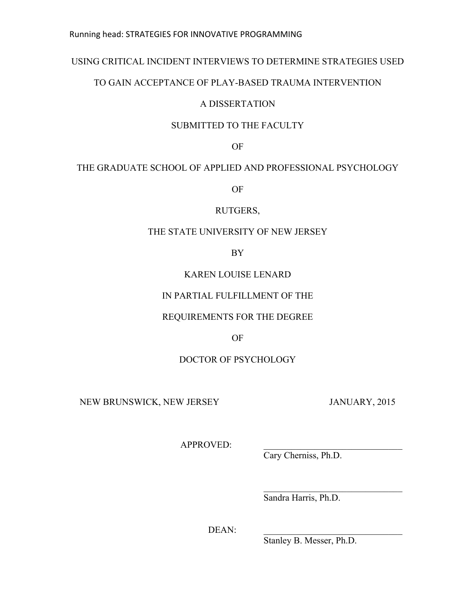### Running head: STRATEGIES FOR INNOVATIVE PROGRAMMING

# USING CRITICAL INCIDENT INTERVIEWS TO DETERMINE STRATEGIES USED

# TO GAIN ACCEPTANCE OF PLAY-BASED TRAUMA INTERVENTION

# A DISSERTATION

# SUBMITTED TO THE FACULTY

OF

# THE GRADUATE SCHOOL OF APPLIED AND PROFESSIONAL PSYCHOLOGY

OF

# RUTGERS,

# THE STATE UNIVERSITY OF NEW JERSEY

BY

# KAREN LOUISE LENARD

# IN PARTIAL FULFILLMENT OF THE

# REQUIREMENTS FOR THE DEGREE

OF

# DOCTOR OF PSYCHOLOGY

NEW BRUNSWICK, NEW JERSEY JANUARY, 2015

APPROVED:

Cary Cherniss, Ph.D.

Sandra Harris, Ph.D.

 $\mathcal{L}_\text{max}$  , where  $\mathcal{L}_\text{max}$  and  $\mathcal{L}_\text{max}$  and  $\mathcal{L}_\text{max}$ 

DEAN:

Stanley B. Messer, Ph.D.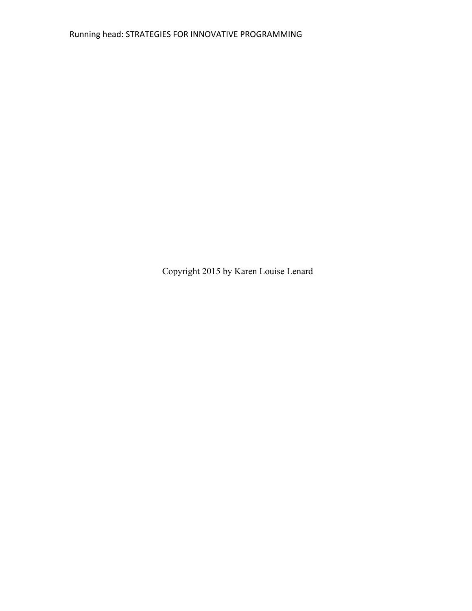Copyright 2015 by Karen Louise Lenard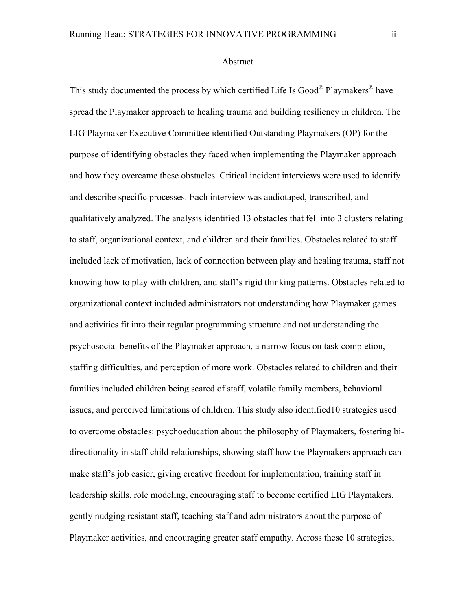This study documented the process by which certified Life Is Good® Playmakers® have spread the Playmaker approach to healing trauma and building resiliency in children. The LIG Playmaker Executive Committee identified Outstanding Playmakers (OP) for the purpose of identifying obstacles they faced when implementing the Playmaker approach and how they overcame these obstacles. Critical incident interviews were used to identify and describe specific processes. Each interview was audiotaped, transcribed, and qualitatively analyzed. The analysis identified 13 obstacles that fell into 3 clusters relating to staff, organizational context, and children and their families. Obstacles related to staff included lack of motivation, lack of connection between play and healing trauma, staff not knowing how to play with children, and staff's rigid thinking patterns. Obstacles related to organizational context included administrators not understanding how Playmaker games and activities fit into their regular programming structure and not understanding the psychosocial benefits of the Playmaker approach, a narrow focus on task completion, staffing difficulties, and perception of more work. Obstacles related to children and their families included children being scared of staff, volatile family members, behavioral issues, and perceived limitations of children. This study also identified10 strategies used to overcome obstacles: psychoeducation about the philosophy of Playmakers, fostering bidirectionality in staff-child relationships, showing staff how the Playmakers approach can make staff's job easier, giving creative freedom for implementation, training staff in leadership skills, role modeling, encouraging staff to become certified LIG Playmakers, gently nudging resistant staff, teaching staff and administrators about the purpose of Playmaker activities, and encouraging greater staff empathy. Across these 10 strategies,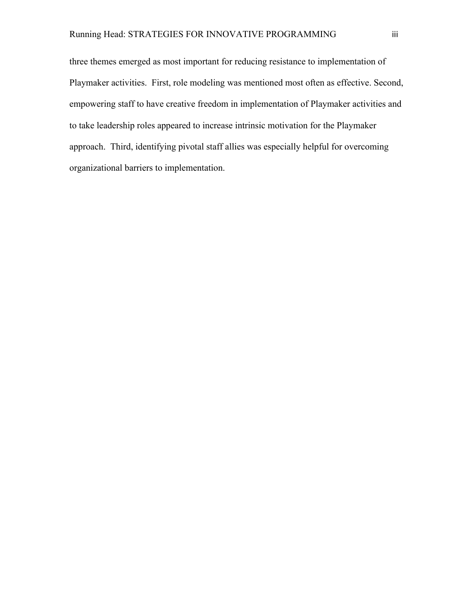three themes emerged as most important for reducing resistance to implementation of Playmaker activities. First, role modeling was mentioned most often as effective. Second, empowering staff to have creative freedom in implementation of Playmaker activities and to take leadership roles appeared to increase intrinsic motivation for the Playmaker approach. Third, identifying pivotal staff allies was especially helpful for overcoming organizational barriers to implementation.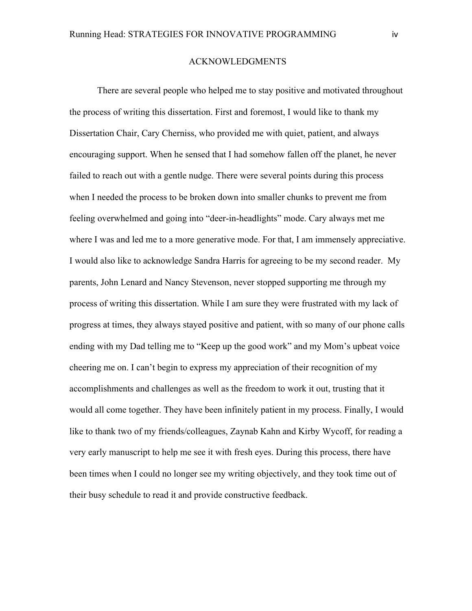#### ACKNOWLEDGMENTS

There are several people who helped me to stay positive and motivated throughout the process of writing this dissertation. First and foremost, I would like to thank my Dissertation Chair, Cary Cherniss, who provided me with quiet, patient, and always encouraging support. When he sensed that I had somehow fallen off the planet, he never failed to reach out with a gentle nudge. There were several points during this process when I needed the process to be broken down into smaller chunks to prevent me from feeling overwhelmed and going into "deer-in-headlights" mode. Cary always met me where I was and led me to a more generative mode. For that, I am immensely appreciative. I would also like to acknowledge Sandra Harris for agreeing to be my second reader. My parents, John Lenard and Nancy Stevenson, never stopped supporting me through my process of writing this dissertation. While I am sure they were frustrated with my lack of progress at times, they always stayed positive and patient, with so many of our phone calls ending with my Dad telling me to "Keep up the good work" and my Mom's upbeat voice cheering me on. I can't begin to express my appreciation of their recognition of my accomplishments and challenges as well as the freedom to work it out, trusting that it would all come together. They have been infinitely patient in my process. Finally, I would like to thank two of my friends/colleagues, Zaynab Kahn and Kirby Wycoff, for reading a very early manuscript to help me see it with fresh eyes. During this process, there have been times when I could no longer see my writing objectively, and they took time out of their busy schedule to read it and provide constructive feedback.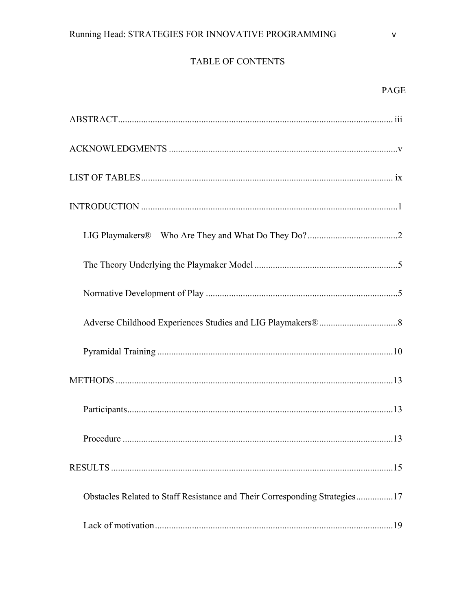# TABLE OF CONTENTS

# PAGE

| Obstacles Related to Staff Resistance and Their Corresponding Strategies17 |  |
|----------------------------------------------------------------------------|--|
|                                                                            |  |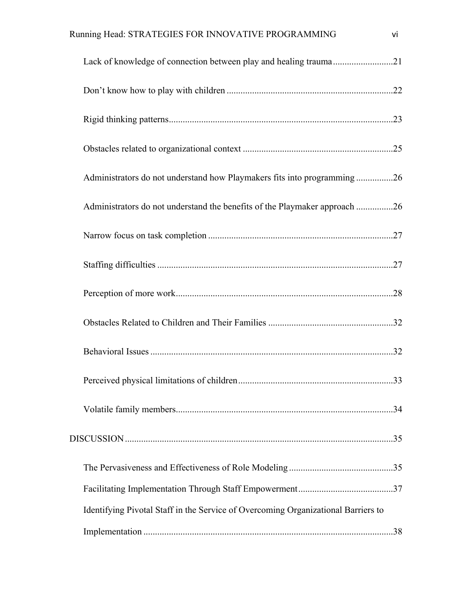| Running Head: STRATEGIES FOR INNOVATIVE PROGRAMMING                               | vi |
|-----------------------------------------------------------------------------------|----|
|                                                                                   |    |
|                                                                                   |    |
|                                                                                   |    |
|                                                                                   |    |
| Administrators do not understand how Playmakers fits into programming 26          |    |
| Administrators do not understand the benefits of the Playmaker approach 26        |    |
|                                                                                   |    |
|                                                                                   |    |
|                                                                                   |    |
|                                                                                   |    |
|                                                                                   |    |
|                                                                                   |    |
|                                                                                   |    |
|                                                                                   |    |
|                                                                                   |    |
|                                                                                   |    |
| Identifying Pivotal Staff in the Service of Overcoming Organizational Barriers to |    |
|                                                                                   |    |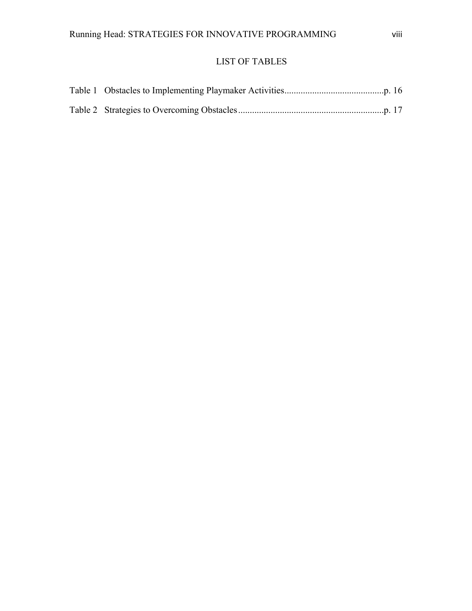# LIST OF TABLES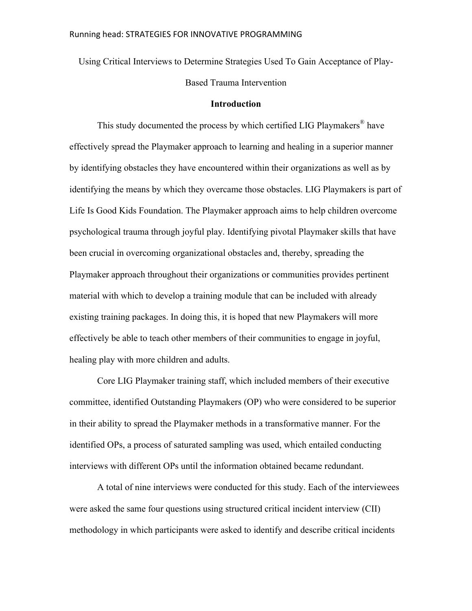Using Critical Interviews to Determine Strategies Used To Gain Acceptance of Play-Based Trauma Intervention

#### **Introduction**

This study documented the process by which certified LIG Playmakers® have effectively spread the Playmaker approach to learning and healing in a superior manner by identifying obstacles they have encountered within their organizations as well as by identifying the means by which they overcame those obstacles. LIG Playmakers is part of Life Is Good Kids Foundation. The Playmaker approach aims to help children overcome psychological trauma through joyful play. Identifying pivotal Playmaker skills that have been crucial in overcoming organizational obstacles and, thereby, spreading the Playmaker approach throughout their organizations or communities provides pertinent material with which to develop a training module that can be included with already existing training packages. In doing this, it is hoped that new Playmakers will more effectively be able to teach other members of their communities to engage in joyful, healing play with more children and adults.

Core LIG Playmaker training staff, which included members of their executive committee, identified Outstanding Playmakers (OP) who were considered to be superior in their ability to spread the Playmaker methods in a transformative manner. For the identified OPs, a process of saturated sampling was used, which entailed conducting interviews with different OPs until the information obtained became redundant.

A total of nine interviews were conducted for this study. Each of the interviewees were asked the same four questions using structured critical incident interview (CII) methodology in which participants were asked to identify and describe critical incidents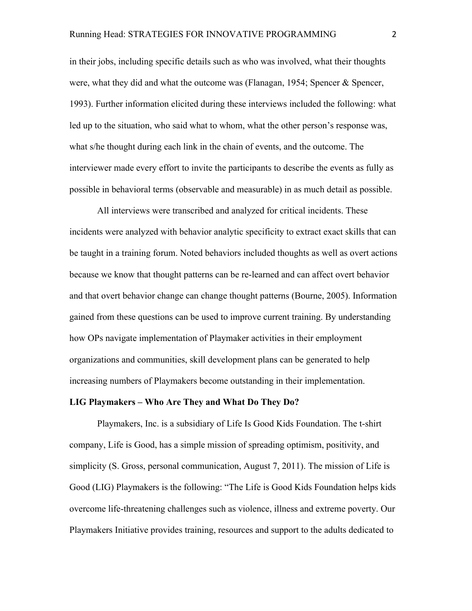in their jobs, including specific details such as who was involved, what their thoughts were, what they did and what the outcome was (Flanagan, 1954; Spencer & Spencer, 1993). Further information elicited during these interviews included the following: what led up to the situation, who said what to whom, what the other person's response was, what s/he thought during each link in the chain of events, and the outcome. The interviewer made every effort to invite the participants to describe the events as fully as possible in behavioral terms (observable and measurable) in as much detail as possible.

All interviews were transcribed and analyzed for critical incidents. These incidents were analyzed with behavior analytic specificity to extract exact skills that can be taught in a training forum. Noted behaviors included thoughts as well as overt actions because we know that thought patterns can be re-learned and can affect overt behavior and that overt behavior change can change thought patterns (Bourne, 2005). Information gained from these questions can be used to improve current training. By understanding how OPs navigate implementation of Playmaker activities in their employment organizations and communities, skill development plans can be generated to help increasing numbers of Playmakers become outstanding in their implementation.

#### **LIG Playmakers – Who Are They and What Do They Do?**

Playmakers, Inc. is a subsidiary of Life Is Good Kids Foundation. The t-shirt company, Life is Good, has a simple mission of spreading optimism, positivity, and simplicity (S. Gross, personal communication, August 7, 2011). The mission of Life is Good (LIG) Playmakers is the following: "The Life is Good Kids Foundation helps kids overcome life-threatening challenges such as violence, illness and extreme poverty. Our Playmakers Initiative provides training, resources and support to the adults dedicated to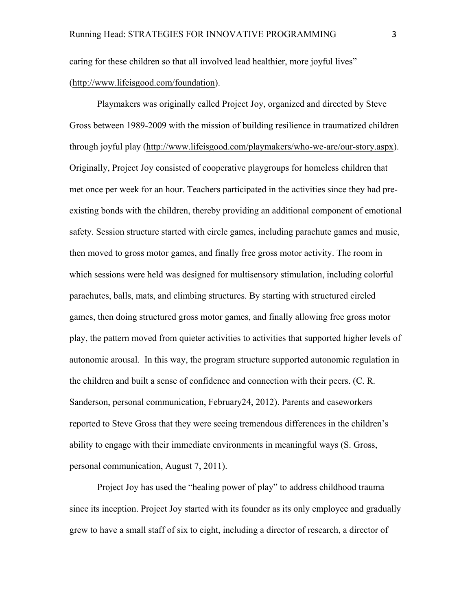caring for these children so that all involved lead healthier, more joyful lives" (http://www.lifeisgood.com/foundation).

Playmakers was originally called Project Joy, organized and directed by Steve Gross between 1989-2009 with the mission of building resilience in traumatized children through joyful play (http://www.lifeisgood.com/playmakers/who-we-are/our-story.aspx). Originally, Project Joy consisted of cooperative playgroups for homeless children that met once per week for an hour. Teachers participated in the activities since they had preexisting bonds with the children, thereby providing an additional component of emotional safety. Session structure started with circle games, including parachute games and music, then moved to gross motor games, and finally free gross motor activity. The room in which sessions were held was designed for multisensory stimulation, including colorful parachutes, balls, mats, and climbing structures. By starting with structured circled games, then doing structured gross motor games, and finally allowing free gross motor play, the pattern moved from quieter activities to activities that supported higher levels of autonomic arousal. In this way, the program structure supported autonomic regulation in the children and built a sense of confidence and connection with their peers. (C. R. Sanderson, personal communication, February24, 2012). Parents and caseworkers reported to Steve Gross that they were seeing tremendous differences in the children's ability to engage with their immediate environments in meaningful ways (S. Gross, personal communication, August 7, 2011).

Project Joy has used the "healing power of play" to address childhood trauma since its inception. Project Joy started with its founder as its only employee and gradually grew to have a small staff of six to eight, including a director of research, a director of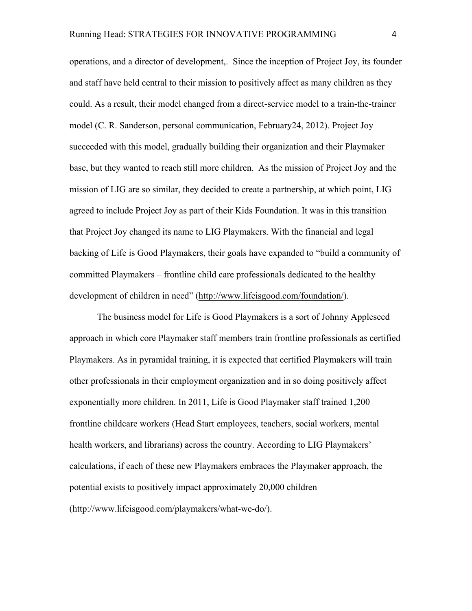operations, and a director of development,. Since the inception of Project Joy, its founder and staff have held central to their mission to positively affect as many children as they could. As a result, their model changed from a direct-service model to a train-the-trainer model (C. R. Sanderson, personal communication, February24, 2012). Project Joy succeeded with this model, gradually building their organization and their Playmaker base, but they wanted to reach still more children. As the mission of Project Joy and the mission of LIG are so similar, they decided to create a partnership, at which point, LIG agreed to include Project Joy as part of their Kids Foundation. It was in this transition that Project Joy changed its name to LIG Playmakers. With the financial and legal backing of Life is Good Playmakers, their goals have expanded to "build a community of committed Playmakers – frontline child care professionals dedicated to the healthy development of children in need" (http://www.lifeisgood.com/foundation/).

The business model for Life is Good Playmakers is a sort of Johnny Appleseed approach in which core Playmaker staff members train frontline professionals as certified Playmakers. As in pyramidal training, it is expected that certified Playmakers will train other professionals in their employment organization and in so doing positively affect exponentially more children. In 2011, Life is Good Playmaker staff trained 1,200 frontline childcare workers (Head Start employees, teachers, social workers, mental health workers, and librarians) across the country. According to LIG Playmakers' calculations, if each of these new Playmakers embraces the Playmaker approach, the potential exists to positively impact approximately 20,000 children (http://www.lifeisgood.com/playmakers/what-we-do/).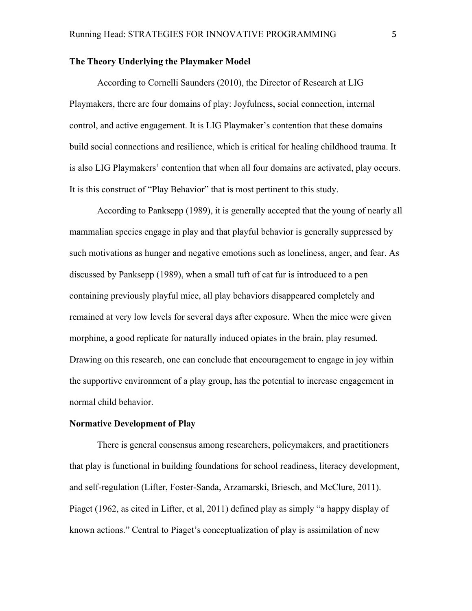#### **The Theory Underlying the Playmaker Model**

According to Cornelli Saunders (2010), the Director of Research at LIG Playmakers, there are four domains of play: Joyfulness, social connection, internal control, and active engagement. It is LIG Playmaker's contention that these domains build social connections and resilience, which is critical for healing childhood trauma. It is also LIG Playmakers' contention that when all four domains are activated, play occurs. It is this construct of "Play Behavior" that is most pertinent to this study.

According to Panksepp (1989), it is generally accepted that the young of nearly all mammalian species engage in play and that playful behavior is generally suppressed by such motivations as hunger and negative emotions such as loneliness, anger, and fear. As discussed by Panksepp (1989), when a small tuft of cat fur is introduced to a pen containing previously playful mice, all play behaviors disappeared completely and remained at very low levels for several days after exposure. When the mice were given morphine, a good replicate for naturally induced opiates in the brain, play resumed. Drawing on this research, one can conclude that encouragement to engage in joy within the supportive environment of a play group, has the potential to increase engagement in normal child behavior.

#### **Normative Development of Play**

There is general consensus among researchers, policymakers, and practitioners that play is functional in building foundations for school readiness, literacy development, and self-regulation (Lifter, Foster-Sanda, Arzamarski, Briesch, and McClure, 2011). Piaget (1962, as cited in Lifter, et al, 2011) defined play as simply "a happy display of known actions." Central to Piaget's conceptualization of play is assimilation of new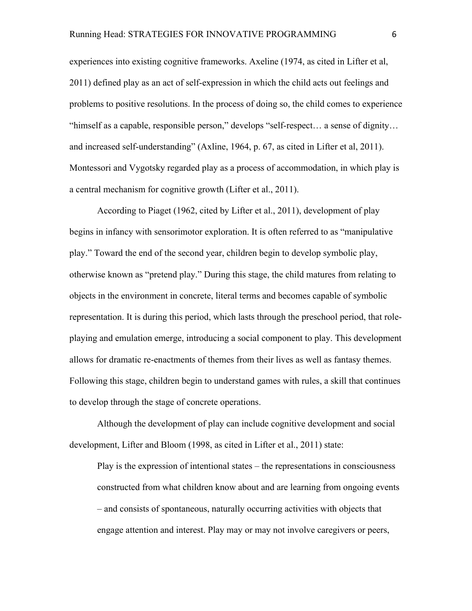experiences into existing cognitive frameworks. Axeline (1974, as cited in Lifter et al, 2011) defined play as an act of self-expression in which the child acts out feelings and problems to positive resolutions. In the process of doing so, the child comes to experience "himself as a capable, responsible person," develops "self-respect… a sense of dignity… and increased self-understanding" (Axline, 1964, p. 67, as cited in Lifter et al, 2011). Montessori and Vygotsky regarded play as a process of accommodation, in which play is a central mechanism for cognitive growth (Lifter et al., 2011).

According to Piaget (1962, cited by Lifter et al., 2011), development of play begins in infancy with sensorimotor exploration. It is often referred to as "manipulative play." Toward the end of the second year, children begin to develop symbolic play, otherwise known as "pretend play." During this stage, the child matures from relating to objects in the environment in concrete, literal terms and becomes capable of symbolic representation. It is during this period, which lasts through the preschool period, that roleplaying and emulation emerge, introducing a social component to play. This development allows for dramatic re-enactments of themes from their lives as well as fantasy themes. Following this stage, children begin to understand games with rules, a skill that continues to develop through the stage of concrete operations.

Although the development of play can include cognitive development and social development, Lifter and Bloom (1998, as cited in Lifter et al., 2011) state:

Play is the expression of intentional states – the representations in consciousness constructed from what children know about and are learning from ongoing events – and consists of spontaneous, naturally occurring activities with objects that engage attention and interest. Play may or may not involve caregivers or peers,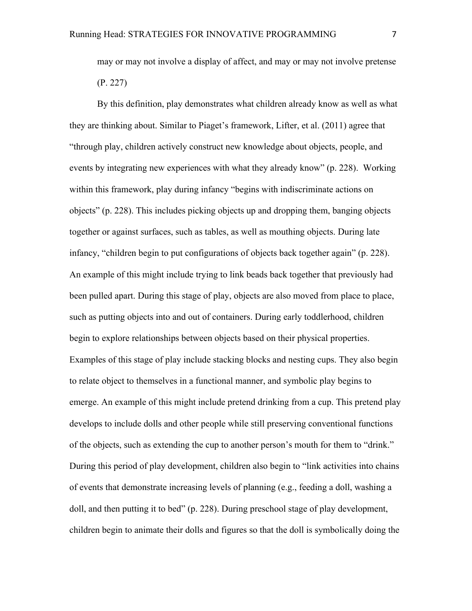may or may not involve a display of affect, and may or may not involve pretense (P. 227)

By this definition, play demonstrates what children already know as well as what they are thinking about. Similar to Piaget's framework, Lifter, et al. (2011) agree that "through play, children actively construct new knowledge about objects, people, and events by integrating new experiences with what they already know" (p. 228). Working within this framework, play during infancy "begins with indiscriminate actions on objects" (p. 228). This includes picking objects up and dropping them, banging objects together or against surfaces, such as tables, as well as mouthing objects. During late infancy, "children begin to put configurations of objects back together again" (p. 228). An example of this might include trying to link beads back together that previously had been pulled apart. During this stage of play, objects are also moved from place to place, such as putting objects into and out of containers. During early toddlerhood, children begin to explore relationships between objects based on their physical properties. Examples of this stage of play include stacking blocks and nesting cups. They also begin to relate object to themselves in a functional manner, and symbolic play begins to emerge. An example of this might include pretend drinking from a cup. This pretend play develops to include dolls and other people while still preserving conventional functions of the objects, such as extending the cup to another person's mouth for them to "drink." During this period of play development, children also begin to "link activities into chains of events that demonstrate increasing levels of planning (e.g., feeding a doll, washing a doll, and then putting it to bed" (p. 228). During preschool stage of play development, children begin to animate their dolls and figures so that the doll is symbolically doing the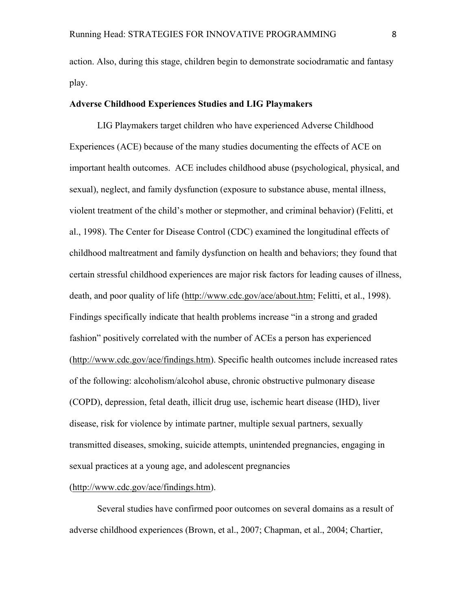action. Also, during this stage, children begin to demonstrate sociodramatic and fantasy play.

#### **Adverse Childhood Experiences Studies and LIG Playmakers**

LIG Playmakers target children who have experienced Adverse Childhood Experiences (ACE) because of the many studies documenting the effects of ACE on important health outcomes. ACE includes childhood abuse (psychological, physical, and sexual), neglect, and family dysfunction (exposure to substance abuse, mental illness, violent treatment of the child's mother or stepmother, and criminal behavior) (Felitti, et al., 1998). The Center for Disease Control (CDC) examined the longitudinal effects of childhood maltreatment and family dysfunction on health and behaviors; they found that certain stressful childhood experiences are major risk factors for leading causes of illness, death, and poor quality of life (http://www.cdc.gov/ace/about.htm; Felitti, et al., 1998). Findings specifically indicate that health problems increase "in a strong and graded fashion" positively correlated with the number of ACEs a person has experienced (http://www.cdc.gov/ace/findings.htm). Specific health outcomes include increased rates of the following: alcoholism/alcohol abuse, chronic obstructive pulmonary disease (COPD), depression, fetal death, illicit drug use, ischemic heart disease (IHD), liver disease, risk for violence by intimate partner, multiple sexual partners, sexually transmitted diseases, smoking, suicide attempts, unintended pregnancies, engaging in sexual practices at a young age, and adolescent pregnancies

#### (http://www.cdc.gov/ace/findings.htm).

Several studies have confirmed poor outcomes on several domains as a result of adverse childhood experiences (Brown, et al., 2007; Chapman, et al., 2004; Chartier,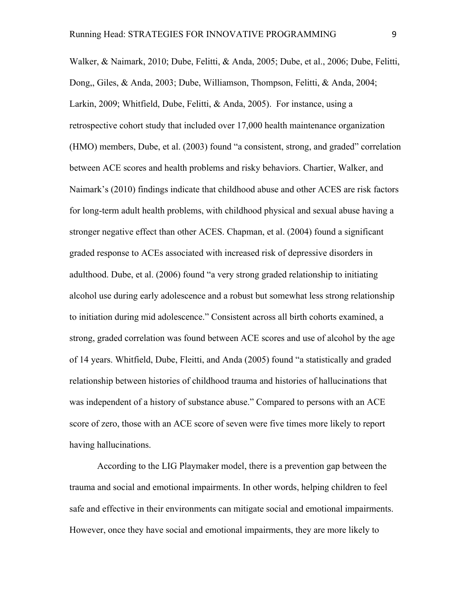Walker, & Naimark, 2010; Dube, Felitti, & Anda, 2005; Dube, et al., 2006; Dube, Felitti, Dong,, Giles, & Anda, 2003; Dube, Williamson, Thompson, Felitti, & Anda, 2004; Larkin, 2009; Whitfield, Dube, Felitti, & Anda, 2005). For instance, using a retrospective cohort study that included over 17,000 health maintenance organization (HMO) members, Dube, et al. (2003) found "a consistent, strong, and graded" correlation between ACE scores and health problems and risky behaviors. Chartier, Walker, and Naimark's (2010) findings indicate that childhood abuse and other ACES are risk factors for long-term adult health problems, with childhood physical and sexual abuse having a stronger negative effect than other ACES. Chapman, et al. (2004) found a significant graded response to ACEs associated with increased risk of depressive disorders in adulthood. Dube, et al. (2006) found "a very strong graded relationship to initiating alcohol use during early adolescence and a robust but somewhat less strong relationship to initiation during mid adolescence." Consistent across all birth cohorts examined, a strong, graded correlation was found between ACE scores and use of alcohol by the age of 14 years. Whitfield, Dube, Fleitti, and Anda (2005) found "a statistically and graded relationship between histories of childhood trauma and histories of hallucinations that was independent of a history of substance abuse." Compared to persons with an ACE score of zero, those with an ACE score of seven were five times more likely to report having hallucinations.

According to the LIG Playmaker model, there is a prevention gap between the trauma and social and emotional impairments. In other words, helping children to feel safe and effective in their environments can mitigate social and emotional impairments. However, once they have social and emotional impairments, they are more likely to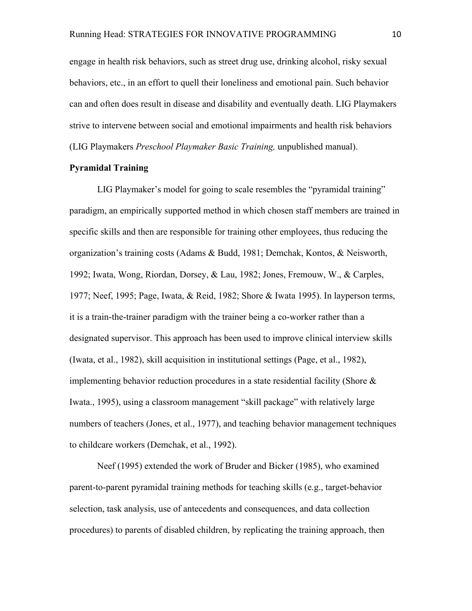engage in health risk behaviors, such as street drug use, drinking alcohol, risky sexual behaviors, etc., in an effort to quell their loneliness and emotional pain. Such behavior can and often does result in disease and disability and eventually death. LIG Playmakers strive to intervene between social and emotional impairments and health risk behaviors (LIG Playmakers *Preschool Playmaker Basic Training,* unpublished manual).

#### **Pyramidal Training**

LIG Playmaker's model for going to scale resembles the "pyramidal training" paradigm, an empirically supported method in which chosen staff members are trained in specific skills and then are responsible for training other employees, thus reducing the organization's training costs (Adams & Budd, 1981; Demchak, Kontos, & Neisworth, 1992; Iwata, Wong, Riordan, Dorsey, & Lau, 1982; Jones, Fremouw, W., & Carples, 1977; Neef, 1995; Page, Iwata, & Reid, 1982; Shore & Iwata 1995). In layperson terms, it is a train-the-trainer paradigm with the trainer being a co-worker rather than a designated supervisor. This approach has been used to improve clinical interview skills (Iwata, et al., 1982), skill acquisition in institutional settings (Page, et al., 1982), implementing behavior reduction procedures in a state residential facility (Shore & Iwata., 1995), using a classroom management "skill package" with relatively large numbers of teachers (Jones, et al., 1977), and teaching behavior management techniques to childcare workers (Demchak, et al., 1992).

Neef (1995) extended the work of Bruder and Bicker (1985), who examined parent-to-parent pyramidal training methods for teaching skills (e.g., target-behavior selection, task analysis, use of antecedents and consequences, and data collection procedures) to parents of disabled children, by replicating the training approach, then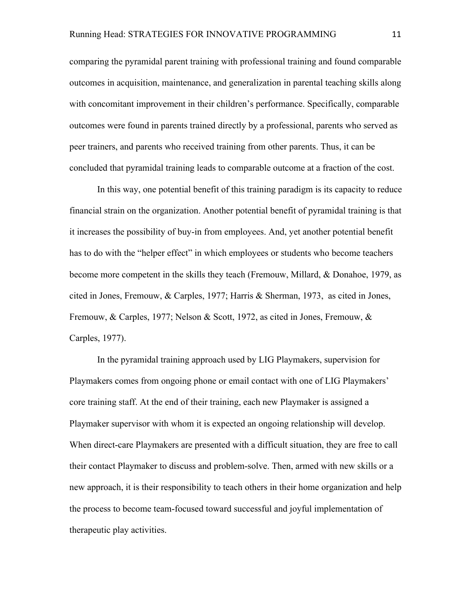comparing the pyramidal parent training with professional training and found comparable outcomes in acquisition, maintenance, and generalization in parental teaching skills along with concomitant improvement in their children's performance. Specifically, comparable outcomes were found in parents trained directly by a professional, parents who served as peer trainers, and parents who received training from other parents. Thus, it can be concluded that pyramidal training leads to comparable outcome at a fraction of the cost.

In this way, one potential benefit of this training paradigm is its capacity to reduce financial strain on the organization. Another potential benefit of pyramidal training is that it increases the possibility of buy-in from employees. And, yet another potential benefit has to do with the "helper effect" in which employees or students who become teachers become more competent in the skills they teach (Fremouw, Millard, & Donahoe, 1979, as cited in Jones, Fremouw, & Carples, 1977; Harris & Sherman, 1973, as cited in Jones, Fremouw, & Carples, 1977; Nelson & Scott, 1972, as cited in Jones, Fremouw, & Carples, 1977).

In the pyramidal training approach used by LIG Playmakers, supervision for Playmakers comes from ongoing phone or email contact with one of LIG Playmakers' core training staff. At the end of their training, each new Playmaker is assigned a Playmaker supervisor with whom it is expected an ongoing relationship will develop. When direct-care Playmakers are presented with a difficult situation, they are free to call their contact Playmaker to discuss and problem-solve. Then, armed with new skills or a new approach, it is their responsibility to teach others in their home organization and help the process to become team-focused toward successful and joyful implementation of therapeutic play activities.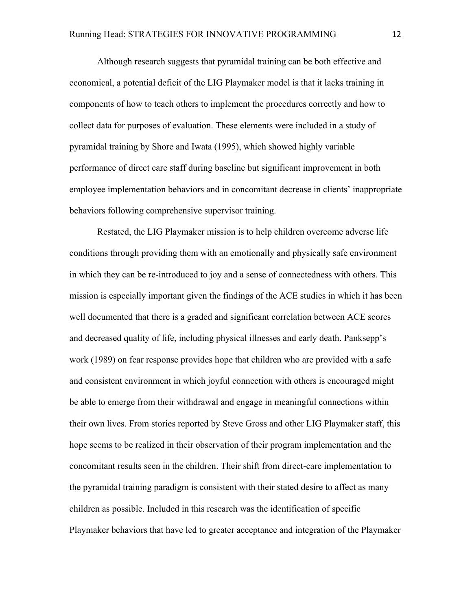Although research suggests that pyramidal training can be both effective and economical, a potential deficit of the LIG Playmaker model is that it lacks training in components of how to teach others to implement the procedures correctly and how to collect data for purposes of evaluation. These elements were included in a study of pyramidal training by Shore and Iwata (1995), which showed highly variable performance of direct care staff during baseline but significant improvement in both employee implementation behaviors and in concomitant decrease in clients' inappropriate behaviors following comprehensive supervisor training.

Restated, the LIG Playmaker mission is to help children overcome adverse life conditions through providing them with an emotionally and physically safe environment in which they can be re-introduced to joy and a sense of connectedness with others. This mission is especially important given the findings of the ACE studies in which it has been well documented that there is a graded and significant correlation between ACE scores and decreased quality of life, including physical illnesses and early death. Panksepp's work (1989) on fear response provides hope that children who are provided with a safe and consistent environment in which joyful connection with others is encouraged might be able to emerge from their withdrawal and engage in meaningful connections within their own lives. From stories reported by Steve Gross and other LIG Playmaker staff, this hope seems to be realized in their observation of their program implementation and the concomitant results seen in the children. Their shift from direct-care implementation to the pyramidal training paradigm is consistent with their stated desire to affect as many children as possible. Included in this research was the identification of specific Playmaker behaviors that have led to greater acceptance and integration of the Playmaker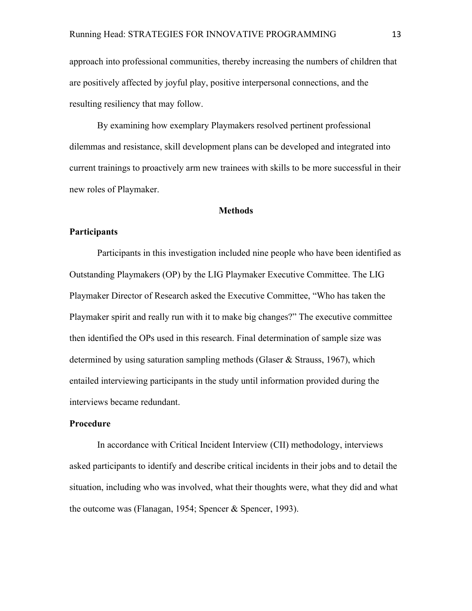approach into professional communities, thereby increasing the numbers of children that are positively affected by joyful play, positive interpersonal connections, and the resulting resiliency that may follow.

By examining how exemplary Playmakers resolved pertinent professional dilemmas and resistance, skill development plans can be developed and integrated into current trainings to proactively arm new trainees with skills to be more successful in their new roles of Playmaker.

#### **Methods**

#### **Participants**

Participants in this investigation included nine people who have been identified as Outstanding Playmakers (OP) by the LIG Playmaker Executive Committee. The LIG Playmaker Director of Research asked the Executive Committee, "Who has taken the Playmaker spirit and really run with it to make big changes?" The executive committee then identified the OPs used in this research. Final determination of sample size was determined by using saturation sampling methods (Glaser & Strauss, 1967), which entailed interviewing participants in the study until information provided during the interviews became redundant.

#### **Procedure**

In accordance with Critical Incident Interview (CII) methodology, interviews asked participants to identify and describe critical incidents in their jobs and to detail the situation, including who was involved, what their thoughts were, what they did and what the outcome was (Flanagan, 1954; Spencer & Spencer, 1993).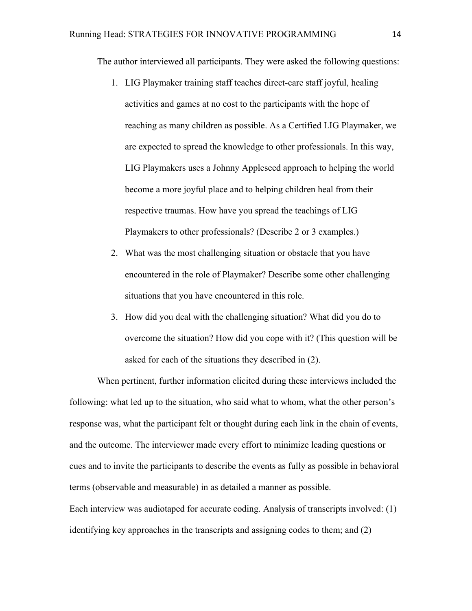The author interviewed all participants. They were asked the following questions:

- 1. LIG Playmaker training staff teaches direct-care staff joyful, healing activities and games at no cost to the participants with the hope of reaching as many children as possible. As a Certified LIG Playmaker, we are expected to spread the knowledge to other professionals. In this way, LIG Playmakers uses a Johnny Appleseed approach to helping the world become a more joyful place and to helping children heal from their respective traumas. How have you spread the teachings of LIG Playmakers to other professionals? (Describe 2 or 3 examples.)
- 2. What was the most challenging situation or obstacle that you have encountered in the role of Playmaker? Describe some other challenging situations that you have encountered in this role.
- 3. How did you deal with the challenging situation? What did you do to overcome the situation? How did you cope with it? (This question will be asked for each of the situations they described in (2).

When pertinent, further information elicited during these interviews included the following: what led up to the situation, who said what to whom, what the other person's response was, what the participant felt or thought during each link in the chain of events, and the outcome. The interviewer made every effort to minimize leading questions or cues and to invite the participants to describe the events as fully as possible in behavioral terms (observable and measurable) in as detailed a manner as possible.

Each interview was audiotaped for accurate coding. Analysis of transcripts involved: (1) identifying key approaches in the transcripts and assigning codes to them; and (2)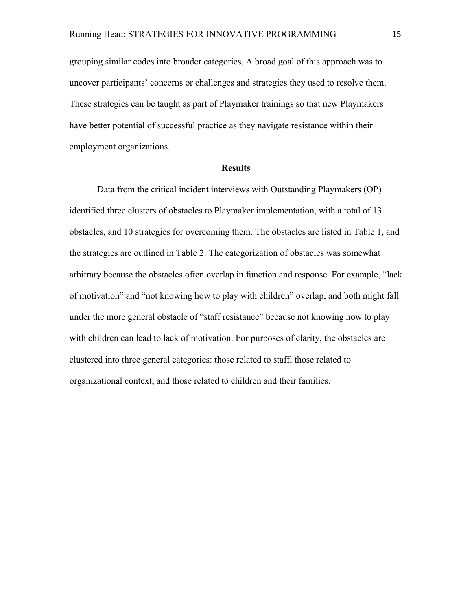grouping similar codes into broader categories. A broad goal of this approach was to uncover participants' concerns or challenges and strategies they used to resolve them. These strategies can be taught as part of Playmaker trainings so that new Playmakers have better potential of successful practice as they navigate resistance within their employment organizations.

#### **Results**

Data from the critical incident interviews with Outstanding Playmakers (OP) identified three clusters of obstacles to Playmaker implementation, with a total of 13 obstacles, and 10 strategies for overcoming them. The obstacles are listed in Table 1, and the strategies are outlined in Table 2. The categorization of obstacles was somewhat arbitrary because the obstacles often overlap in function and response. For example, "lack of motivation" and "not knowing how to play with children" overlap, and both might fall under the more general obstacle of "staff resistance" because not knowing how to play with children can lead to lack of motivation. For purposes of clarity, the obstacles are clustered into three general categories: those related to staff, those related to organizational context, and those related to children and their families.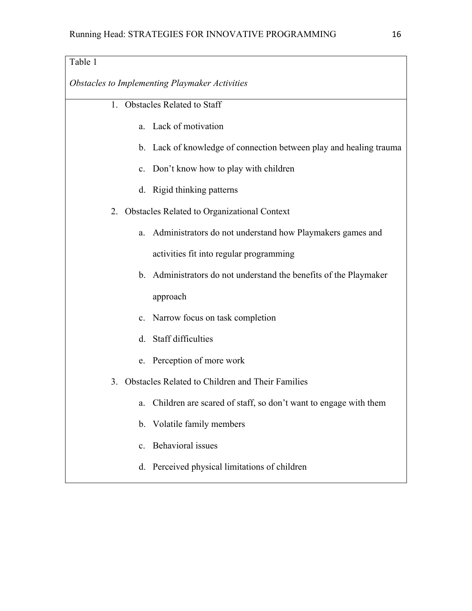| Table 1                                                               |
|-----------------------------------------------------------------------|
| Obstacles to Implementing Playmaker Activities                        |
| <b>Obstacles Related to Staff</b><br>1                                |
| Lack of motivation<br>a.                                              |
| b. Lack of knowledge of connection between play and healing trauma    |
| c. Don't know how to play with children                               |
| d. Rigid thinking patterns                                            |
| 2. Obstacles Related to Organizational Context                        |
| Administrators do not understand how Playmakers games and<br>a.       |
| activities fit into regular programming                               |
| b. Administrators do not understand the benefits of the Playmaker     |
| approach                                                              |
| c. Narrow focus on task completion                                    |
| Staff difficulties<br>d.                                              |
| e. Perception of more work                                            |
| Obstacles Related to Children and Their Families<br>3.                |
| Children are scared of staff, so don't want to engage with them<br>a. |
| b. Volatile family members                                            |
| <b>Behavioral</b> issues<br>$\mathbf{c}$ .                            |
| d. Perceived physical limitations of children                         |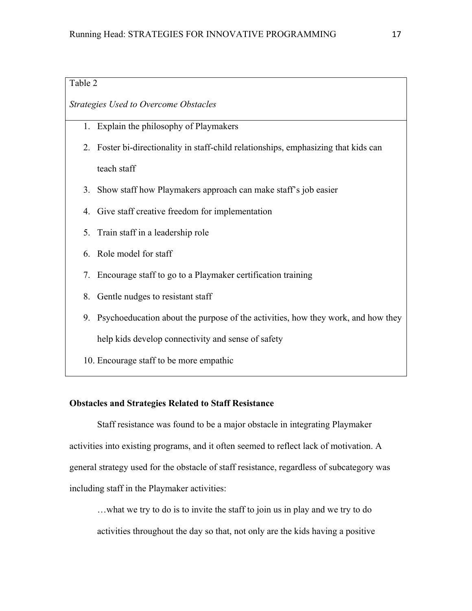## Table 2

#### *Strategies Used to Overcome Obstacles*

- 1. Explain the philosophy of Playmakers
- 2. Foster bi-directionality in staff-child relationships, emphasizing that kids can teach staff
- 3. Show staff how Playmakers approach can make staff's job easier
- 4. Give staff creative freedom for implementation
- 5. Train staff in a leadership role
- 6. Role model for staff
- 7. Encourage staff to go to a Playmaker certification training
- 8. Gentle nudges to resistant staff
- 9. Psychoeducation about the purpose of the activities, how they work, and how they help kids develop connectivity and sense of safety
- 10. Encourage staff to be more empathic

#### **Obstacles and Strategies Related to Staff Resistance**

Staff resistance was found to be a major obstacle in integrating Playmaker activities into existing programs, and it often seemed to reflect lack of motivation. A general strategy used for the obstacle of staff resistance, regardless of subcategory was including staff in the Playmaker activities:

…what we try to do is to invite the staff to join us in play and we try to do activities throughout the day so that, not only are the kids having a positive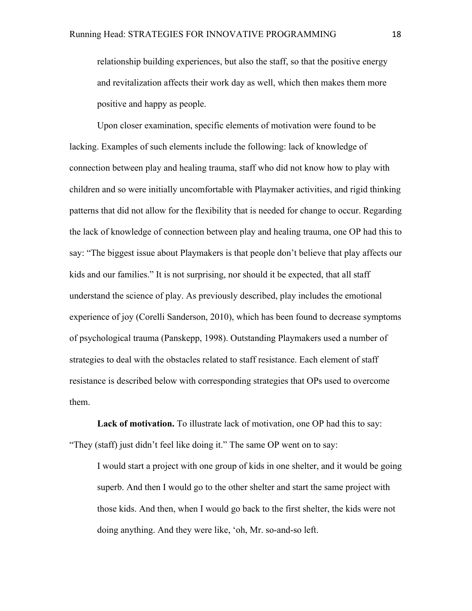relationship building experiences, but also the staff, so that the positive energy and revitalization affects their work day as well, which then makes them more positive and happy as people.

Upon closer examination, specific elements of motivation were found to be lacking. Examples of such elements include the following: lack of knowledge of connection between play and healing trauma, staff who did not know how to play with children and so were initially uncomfortable with Playmaker activities, and rigid thinking patterns that did not allow for the flexibility that is needed for change to occur. Regarding the lack of knowledge of connection between play and healing trauma, one OP had this to say: "The biggest issue about Playmakers is that people don't believe that play affects our kids and our families." It is not surprising, nor should it be expected, that all staff understand the science of play. As previously described, play includes the emotional experience of joy (Corelli Sanderson, 2010), which has been found to decrease symptoms of psychological trauma (Panskepp, 1998). Outstanding Playmakers used a number of strategies to deal with the obstacles related to staff resistance. Each element of staff resistance is described below with corresponding strategies that OPs used to overcome them.

**Lack of motivation.** To illustrate lack of motivation, one OP had this to say: "They (staff) just didn't feel like doing it." The same OP went on to say:

I would start a project with one group of kids in one shelter, and it would be going superb. And then I would go to the other shelter and start the same project with those kids. And then, when I would go back to the first shelter, the kids were not doing anything. And they were like, 'oh, Mr. so-and-so left.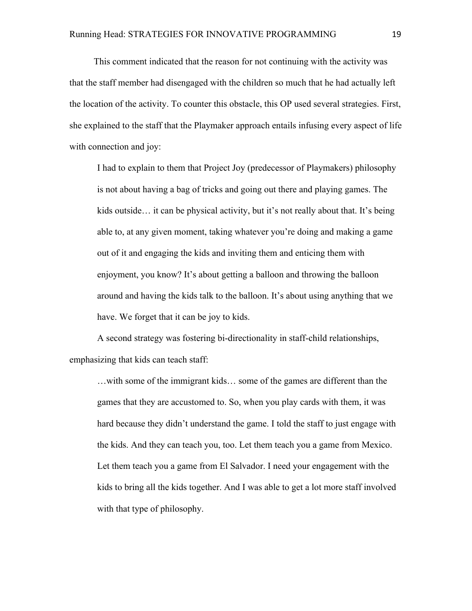This comment indicated that the reason for not continuing with the activity was that the staff member had disengaged with the children so much that he had actually left the location of the activity. To counter this obstacle, this OP used several strategies. First, she explained to the staff that the Playmaker approach entails infusing every aspect of life with connection and joy:

I had to explain to them that Project Joy (predecessor of Playmakers) philosophy is not about having a bag of tricks and going out there and playing games. The kids outside… it can be physical activity, but it's not really about that. It's being able to, at any given moment, taking whatever you're doing and making a game out of it and engaging the kids and inviting them and enticing them with enjoyment, you know? It's about getting a balloon and throwing the balloon around and having the kids talk to the balloon. It's about using anything that we have. We forget that it can be joy to kids.

A second strategy was fostering bi-directionality in staff-child relationships, emphasizing that kids can teach staff:

…with some of the immigrant kids… some of the games are different than the games that they are accustomed to. So, when you play cards with them, it was hard because they didn't understand the game. I told the staff to just engage with the kids. And they can teach you, too. Let them teach you a game from Mexico. Let them teach you a game from El Salvador. I need your engagement with the kids to bring all the kids together. And I was able to get a lot more staff involved with that type of philosophy.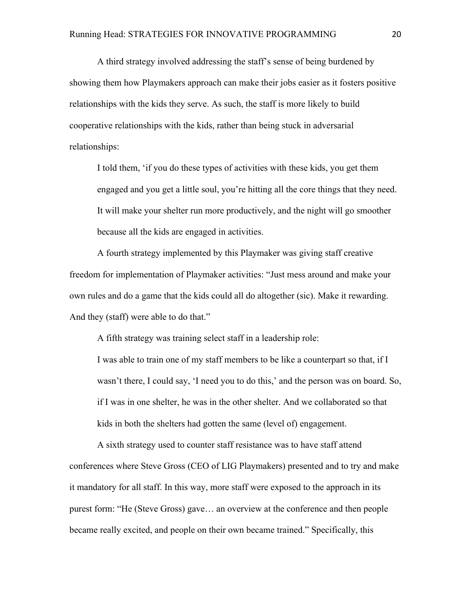A third strategy involved addressing the staff's sense of being burdened by showing them how Playmakers approach can make their jobs easier as it fosters positive relationships with the kids they serve. As such, the staff is more likely to build cooperative relationships with the kids, rather than being stuck in adversarial relationships:

I told them, 'if you do these types of activities with these kids, you get them engaged and you get a little soul, you're hitting all the core things that they need. It will make your shelter run more productively, and the night will go smoother because all the kids are engaged in activities.

A fourth strategy implemented by this Playmaker was giving staff creative freedom for implementation of Playmaker activities: "Just mess around and make your own rules and do a game that the kids could all do altogether (sic). Make it rewarding. And they (staff) were able to do that."

A fifth strategy was training select staff in a leadership role:

I was able to train one of my staff members to be like a counterpart so that, if I wasn't there, I could say, 'I need you to do this,' and the person was on board. So, if I was in one shelter, he was in the other shelter. And we collaborated so that kids in both the shelters had gotten the same (level of) engagement.

A sixth strategy used to counter staff resistance was to have staff attend conferences where Steve Gross (CEO of LIG Playmakers) presented and to try and make it mandatory for all staff. In this way, more staff were exposed to the approach in its purest form: "He (Steve Gross) gave… an overview at the conference and then people became really excited, and people on their own became trained." Specifically, this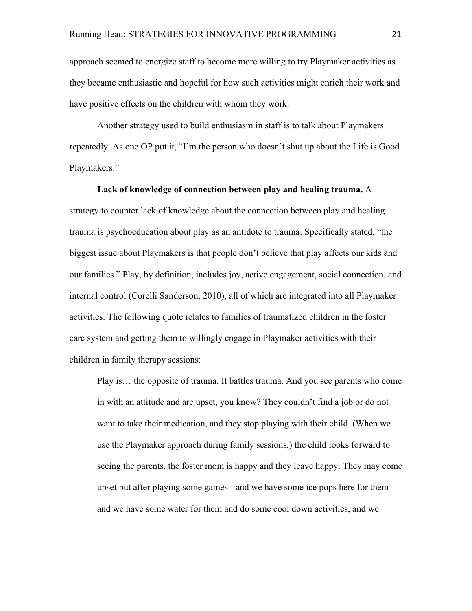approach seemed to energize staff to become more willing to try Playmaker activities as they became enthusiastic and hopeful for how such activities might enrich their work and have positive effects on the children with whom they work.

Another strategy used to build enthusiasm in staff is to talk about Playmakers repeatedly. As one OP put it, "I'm the person who doesn't shut up about the Life is Good Playmakers."

#### **Lack of knowledge of connection between play and healing trauma.** A

strategy to counter lack of knowledge about the connection between play and healing trauma is psychoeducation about play as an antidote to trauma. Specifically stated, "the biggest issue about Playmakers is that people don't believe that play affects our kids and our families." Play, by definition, includes joy, active engagement, social connection, and internal control (Corelli Sanderson, 2010), all of which are integrated into all Playmaker activities. The following quote relates to families of traumatized children in the foster care system and getting them to willingly engage in Playmaker activities with their children in family therapy sessions:

Play is… the opposite of trauma. It battles trauma. And you see parents who come in with an attitude and are upset, you know? They couldn't find a job or do not want to take their medication, and they stop playing with their child. (When we use the Playmaker approach during family sessions,) the child looks forward to seeing the parents, the foster mom is happy and they leave happy. They may come upset but after playing some games - and we have some ice pops here for them and we have some water for them and do some cool down activities, and we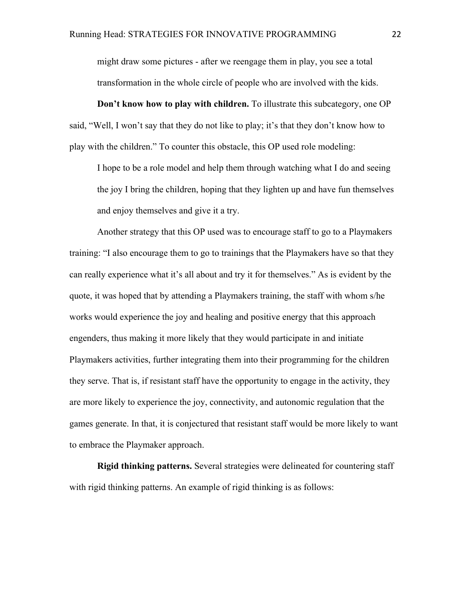might draw some pictures - after we reengage them in play, you see a total transformation in the whole circle of people who are involved with the kids.

**Don't know how to play with children.** To illustrate this subcategory, one OP said, "Well, I won't say that they do not like to play; it's that they don't know how to play with the children." To counter this obstacle, this OP used role modeling:

I hope to be a role model and help them through watching what I do and seeing the joy I bring the children, hoping that they lighten up and have fun themselves and enjoy themselves and give it a try.

Another strategy that this OP used was to encourage staff to go to a Playmakers training: "I also encourage them to go to trainings that the Playmakers have so that they can really experience what it's all about and try it for themselves." As is evident by the quote, it was hoped that by attending a Playmakers training, the staff with whom s/he works would experience the joy and healing and positive energy that this approach engenders, thus making it more likely that they would participate in and initiate Playmakers activities, further integrating them into their programming for the children they serve. That is, if resistant staff have the opportunity to engage in the activity, they are more likely to experience the joy, connectivity, and autonomic regulation that the games generate. In that, it is conjectured that resistant staff would be more likely to want to embrace the Playmaker approach.

**Rigid thinking patterns.** Several strategies were delineated for countering staff with rigid thinking patterns. An example of rigid thinking is as follows: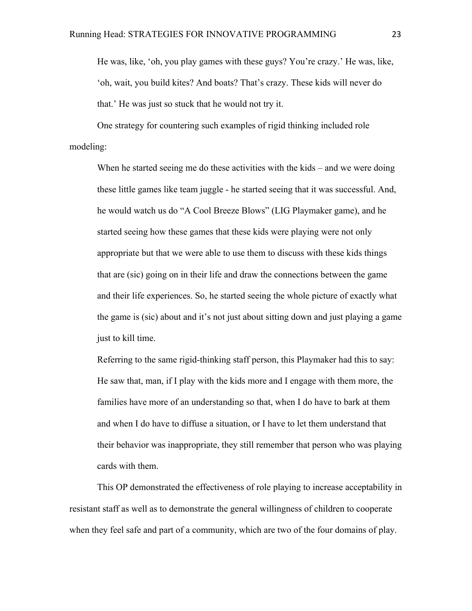He was, like, 'oh, you play games with these guys? You're crazy.' He was, like, 'oh, wait, you build kites? And boats? That's crazy. These kids will never do that.' He was just so stuck that he would not try it.

One strategy for countering such examples of rigid thinking included role modeling:

When he started seeing me do these activities with the kids – and we were doing these little games like team juggle - he started seeing that it was successful. And, he would watch us do "A Cool Breeze Blows" (LIG Playmaker game), and he started seeing how these games that these kids were playing were not only appropriate but that we were able to use them to discuss with these kids things that are (sic) going on in their life and draw the connections between the game and their life experiences. So, he started seeing the whole picture of exactly what the game is (sic) about and it's not just about sitting down and just playing a game just to kill time.

Referring to the same rigid-thinking staff person, this Playmaker had this to say: He saw that, man, if I play with the kids more and I engage with them more, the families have more of an understanding so that, when I do have to bark at them and when I do have to diffuse a situation, or I have to let them understand that their behavior was inappropriate, they still remember that person who was playing cards with them.

This OP demonstrated the effectiveness of role playing to increase acceptability in resistant staff as well as to demonstrate the general willingness of children to cooperate when they feel safe and part of a community, which are two of the four domains of play.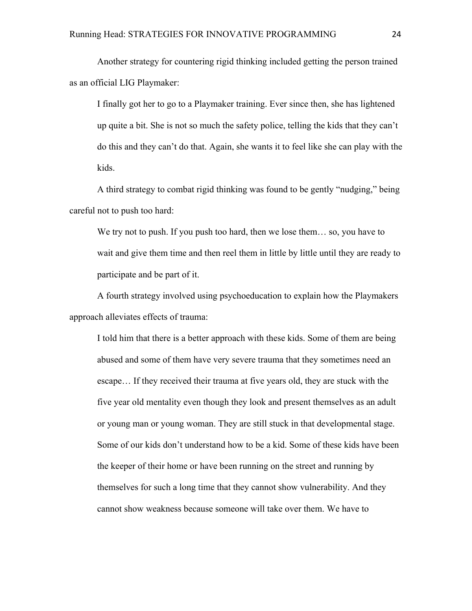Another strategy for countering rigid thinking included getting the person trained as an official LIG Playmaker:

I finally got her to go to a Playmaker training. Ever since then, she has lightened up quite a bit. She is not so much the safety police, telling the kids that they can't do this and they can't do that. Again, she wants it to feel like she can play with the kids.

A third strategy to combat rigid thinking was found to be gently "nudging," being careful not to push too hard:

We try not to push. If you push too hard, then we lose them... so, you have to wait and give them time and then reel them in little by little until they are ready to participate and be part of it.

A fourth strategy involved using psychoeducation to explain how the Playmakers approach alleviates effects of trauma:

I told him that there is a better approach with these kids. Some of them are being abused and some of them have very severe trauma that they sometimes need an escape… If they received their trauma at five years old, they are stuck with the five year old mentality even though they look and present themselves as an adult or young man or young woman. They are still stuck in that developmental stage. Some of our kids don't understand how to be a kid. Some of these kids have been the keeper of their home or have been running on the street and running by themselves for such a long time that they cannot show vulnerability. And they cannot show weakness because someone will take over them. We have to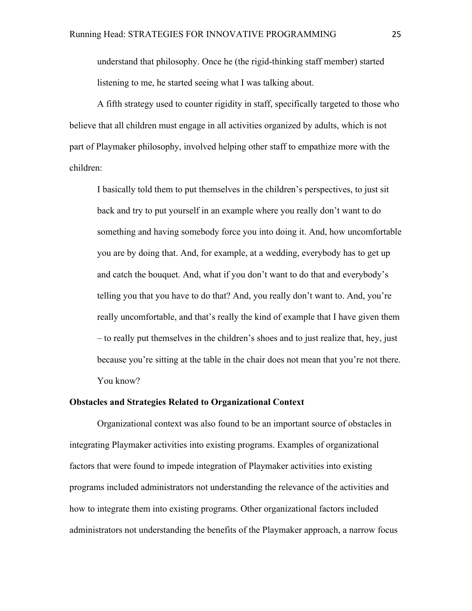understand that philosophy. Once he (the rigid-thinking staff member) started listening to me, he started seeing what I was talking about.

A fifth strategy used to counter rigidity in staff, specifically targeted to those who believe that all children must engage in all activities organized by adults, which is not part of Playmaker philosophy, involved helping other staff to empathize more with the children:

I basically told them to put themselves in the children's perspectives, to just sit back and try to put yourself in an example where you really don't want to do something and having somebody force you into doing it. And, how uncomfortable you are by doing that. And, for example, at a wedding, everybody has to get up and catch the bouquet. And, what if you don't want to do that and everybody's telling you that you have to do that? And, you really don't want to. And, you're really uncomfortable, and that's really the kind of example that I have given them – to really put themselves in the children's shoes and to just realize that, hey, just because you're sitting at the table in the chair does not mean that you're not there. You know?

#### **Obstacles and Strategies Related to Organizational Context**

Organizational context was also found to be an important source of obstacles in integrating Playmaker activities into existing programs. Examples of organizational factors that were found to impede integration of Playmaker activities into existing programs included administrators not understanding the relevance of the activities and how to integrate them into existing programs. Other organizational factors included administrators not understanding the benefits of the Playmaker approach, a narrow focus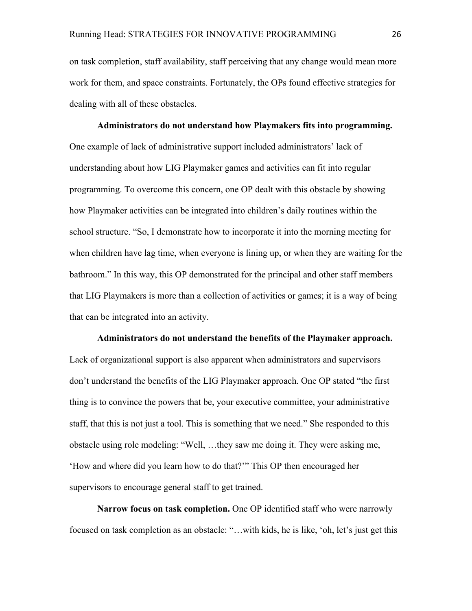on task completion, staff availability, staff perceiving that any change would mean more work for them, and space constraints. Fortunately, the OPs found effective strategies for dealing with all of these obstacles.

**Administrators do not understand how Playmakers fits into programming.** One example of lack of administrative support included administrators' lack of understanding about how LIG Playmaker games and activities can fit into regular programming. To overcome this concern, one OP dealt with this obstacle by showing how Playmaker activities can be integrated into children's daily routines within the school structure. "So, I demonstrate how to incorporate it into the morning meeting for when children have lag time, when everyone is lining up, or when they are waiting for the bathroom." In this way, this OP demonstrated for the principal and other staff members that LIG Playmakers is more than a collection of activities or games; it is a way of being that can be integrated into an activity.

**Administrators do not understand the benefits of the Playmaker approach.** Lack of organizational support is also apparent when administrators and supervisors don't understand the benefits of the LIG Playmaker approach. One OP stated "the first thing is to convince the powers that be, your executive committee, your administrative staff, that this is not just a tool. This is something that we need." She responded to this obstacle using role modeling: "Well, …they saw me doing it. They were asking me, 'How and where did you learn how to do that?'" This OP then encouraged her supervisors to encourage general staff to get trained.

**Narrow focus on task completion.** One OP identified staff who were narrowly focused on task completion as an obstacle: "…with kids, he is like, 'oh, let's just get this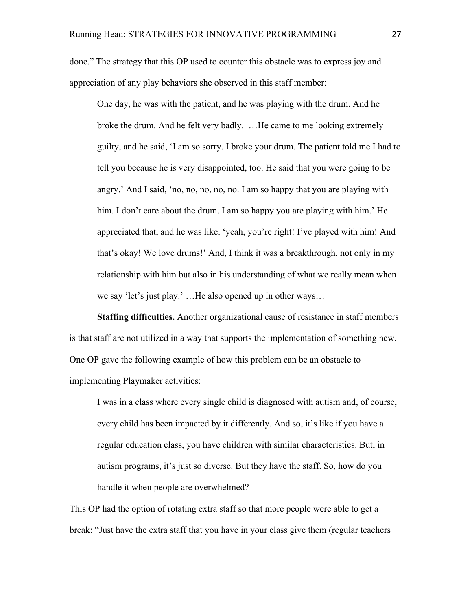done." The strategy that this OP used to counter this obstacle was to express joy and appreciation of any play behaviors she observed in this staff member:

One day, he was with the patient, and he was playing with the drum. And he broke the drum. And he felt very badly. …He came to me looking extremely guilty, and he said, 'I am so sorry. I broke your drum. The patient told me I had to tell you because he is very disappointed, too. He said that you were going to be angry.' And I said, 'no, no, no, no, no. I am so happy that you are playing with him. I don't care about the drum. I am so happy you are playing with him.' He appreciated that, and he was like, 'yeah, you're right! I've played with him! And that's okay! We love drums!' And, I think it was a breakthrough, not only in my relationship with him but also in his understanding of what we really mean when we say 'let's just play.' …He also opened up in other ways…

**Staffing difficulties.** Another organizational cause of resistance in staff members is that staff are not utilized in a way that supports the implementation of something new. One OP gave the following example of how this problem can be an obstacle to implementing Playmaker activities:

I was in a class where every single child is diagnosed with autism and, of course, every child has been impacted by it differently. And so, it's like if you have a regular education class, you have children with similar characteristics. But, in autism programs, it's just so diverse. But they have the staff. So, how do you handle it when people are overwhelmed?

This OP had the option of rotating extra staff so that more people were able to get a break: "Just have the extra staff that you have in your class give them (regular teachers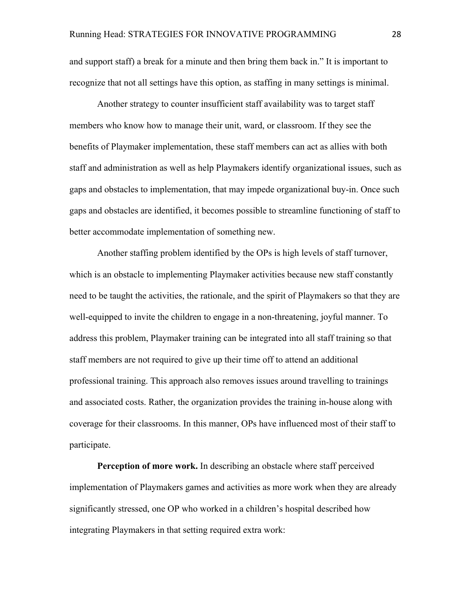and support staff) a break for a minute and then bring them back in." It is important to recognize that not all settings have this option, as staffing in many settings is minimal.

Another strategy to counter insufficient staff availability was to target staff members who know how to manage their unit, ward, or classroom. If they see the benefits of Playmaker implementation, these staff members can act as allies with both staff and administration as well as help Playmakers identify organizational issues, such as gaps and obstacles to implementation, that may impede organizational buy-in. Once such gaps and obstacles are identified, it becomes possible to streamline functioning of staff to better accommodate implementation of something new.

Another staffing problem identified by the OPs is high levels of staff turnover, which is an obstacle to implementing Playmaker activities because new staff constantly need to be taught the activities, the rationale, and the spirit of Playmakers so that they are well-equipped to invite the children to engage in a non-threatening, joyful manner. To address this problem, Playmaker training can be integrated into all staff training so that staff members are not required to give up their time off to attend an additional professional training. This approach also removes issues around travelling to trainings and associated costs. Rather, the organization provides the training in-house along with coverage for their classrooms. In this manner, OPs have influenced most of their staff to participate.

**Perception of more work.** In describing an obstacle where staff perceived implementation of Playmakers games and activities as more work when they are already significantly stressed, one OP who worked in a children's hospital described how integrating Playmakers in that setting required extra work: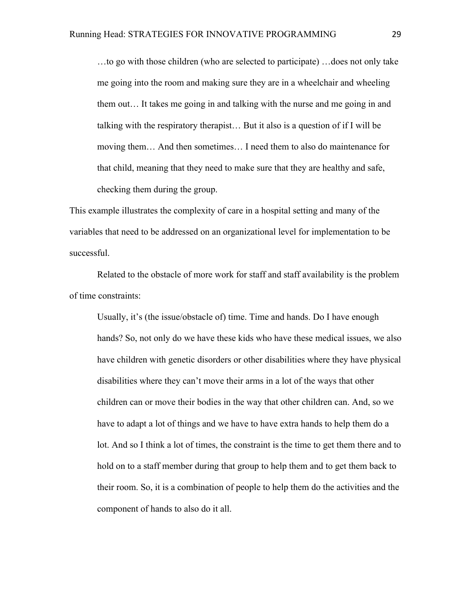…to go with those children (who are selected to participate) …does not only take me going into the room and making sure they are in a wheelchair and wheeling them out… It takes me going in and talking with the nurse and me going in and talking with the respiratory therapist… But it also is a question of if I will be moving them… And then sometimes… I need them to also do maintenance for that child, meaning that they need to make sure that they are healthy and safe, checking them during the group.

This example illustrates the complexity of care in a hospital setting and many of the variables that need to be addressed on an organizational level for implementation to be successful.

Related to the obstacle of more work for staff and staff availability is the problem of time constraints:

Usually, it's (the issue/obstacle of) time. Time and hands. Do I have enough hands? So, not only do we have these kids who have these medical issues, we also have children with genetic disorders or other disabilities where they have physical disabilities where they can't move their arms in a lot of the ways that other children can or move their bodies in the way that other children can. And, so we have to adapt a lot of things and we have to have extra hands to help them do a lot. And so I think a lot of times, the constraint is the time to get them there and to hold on to a staff member during that group to help them and to get them back to their room. So, it is a combination of people to help them do the activities and the component of hands to also do it all.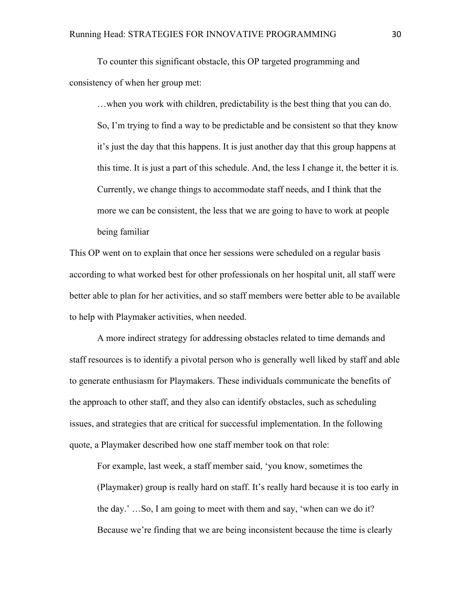To counter this significant obstacle, this OP targeted programming and consistency of when her group met:

…when you work with children, predictability is the best thing that you can do. So, I'm trying to find a way to be predictable and be consistent so that they know it's just the day that this happens. It is just another day that this group happens at this time. It is just a part of this schedule. And, the less I change it, the better it is. Currently, we change things to accommodate staff needs, and I think that the more we can be consistent, the less that we are going to have to work at people being familiar

This OP went on to explain that once her sessions were scheduled on a regular basis according to what worked best for other professionals on her hospital unit, all staff were better able to plan for her activities, and so staff members were better able to be available to help with Playmaker activities, when needed.

A more indirect strategy for addressing obstacles related to time demands and staff resources is to identify a pivotal person who is generally well liked by staff and able to generate enthusiasm for Playmakers. These individuals communicate the benefits of the approach to other staff, and they also can identify obstacles, such as scheduling issues, and strategies that are critical for successful implementation. In the following quote, a Playmaker described how one staff member took on that role:

For example, last week, a staff member said, 'you know, sometimes the (Playmaker) group is really hard on staff. It's really hard because it is too early in the day.' …So, I am going to meet with them and say, 'when can we do it? Because we're finding that we are being inconsistent because the time is clearly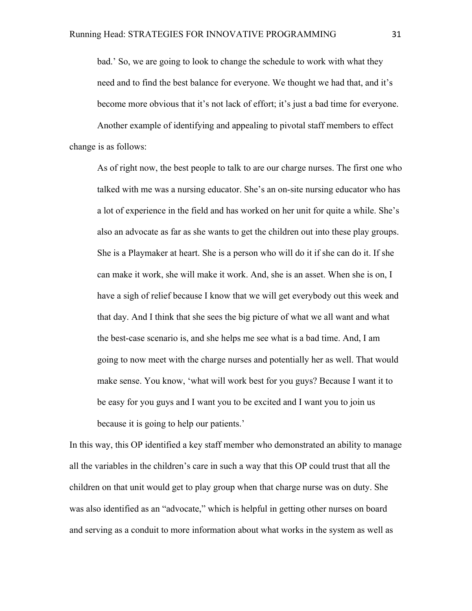bad.' So, we are going to look to change the schedule to work with what they need and to find the best balance for everyone. We thought we had that, and it's become more obvious that it's not lack of effort; it's just a bad time for everyone.

Another example of identifying and appealing to pivotal staff members to effect change is as follows:

As of right now, the best people to talk to are our charge nurses. The first one who talked with me was a nursing educator. She's an on-site nursing educator who has a lot of experience in the field and has worked on her unit for quite a while. She's also an advocate as far as she wants to get the children out into these play groups. She is a Playmaker at heart. She is a person who will do it if she can do it. If she can make it work, she will make it work. And, she is an asset. When she is on, I have a sigh of relief because I know that we will get everybody out this week and that day. And I think that she sees the big picture of what we all want and what the best-case scenario is, and she helps me see what is a bad time. And, I am going to now meet with the charge nurses and potentially her as well. That would make sense. You know, 'what will work best for you guys? Because I want it to be easy for you guys and I want you to be excited and I want you to join us because it is going to help our patients.'

In this way, this OP identified a key staff member who demonstrated an ability to manage all the variables in the children's care in such a way that this OP could trust that all the children on that unit would get to play group when that charge nurse was on duty. She was also identified as an "advocate," which is helpful in getting other nurses on board and serving as a conduit to more information about what works in the system as well as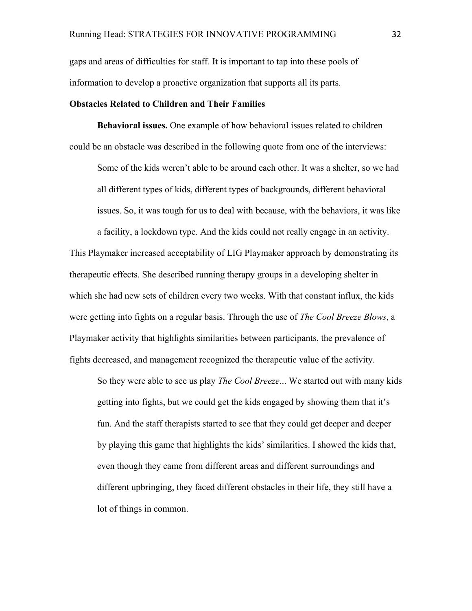gaps and areas of difficulties for staff. It is important to tap into these pools of information to develop a proactive organization that supports all its parts.

#### **Obstacles Related to Children and Their Families**

**Behavioral issues.** One example of how behavioral issues related to children could be an obstacle was described in the following quote from one of the interviews:

Some of the kids weren't able to be around each other. It was a shelter, so we had all different types of kids, different types of backgrounds, different behavioral issues. So, it was tough for us to deal with because, with the behaviors, it was like

a facility, a lockdown type. And the kids could not really engage in an activity. This Playmaker increased acceptability of LIG Playmaker approach by demonstrating its therapeutic effects. She described running therapy groups in a developing shelter in which she had new sets of children every two weeks. With that constant influx, the kids were getting into fights on a regular basis. Through the use of *The Cool Breeze Blows*, a Playmaker activity that highlights similarities between participants, the prevalence of fights decreased, and management recognized the therapeutic value of the activity.

So they were able to see us play *The Cool Breeze*... We started out with many kids getting into fights, but we could get the kids engaged by showing them that it's fun. And the staff therapists started to see that they could get deeper and deeper by playing this game that highlights the kids' similarities. I showed the kids that, even though they came from different areas and different surroundings and different upbringing, they faced different obstacles in their life, they still have a lot of things in common.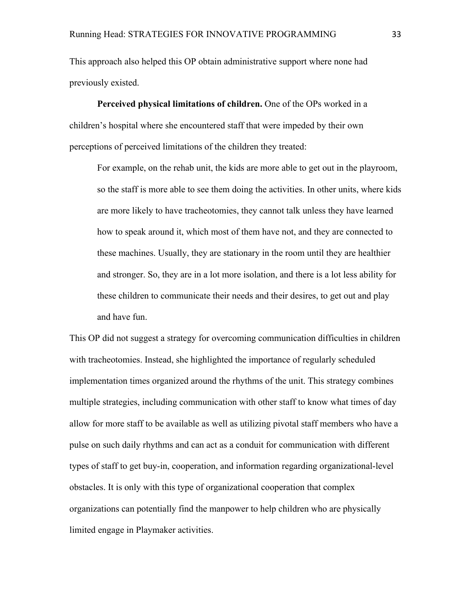This approach also helped this OP obtain administrative support where none had previously existed.

**Perceived physical limitations of children.** One of the OPs worked in a children's hospital where she encountered staff that were impeded by their own perceptions of perceived limitations of the children they treated:

For example, on the rehab unit, the kids are more able to get out in the playroom, so the staff is more able to see them doing the activities. In other units, where kids are more likely to have tracheotomies, they cannot talk unless they have learned how to speak around it, which most of them have not, and they are connected to these machines. Usually, they are stationary in the room until they are healthier and stronger. So, they are in a lot more isolation, and there is a lot less ability for these children to communicate their needs and their desires, to get out and play and have fun.

This OP did not suggest a strategy for overcoming communication difficulties in children with tracheotomies. Instead, she highlighted the importance of regularly scheduled implementation times organized around the rhythms of the unit. This strategy combines multiple strategies, including communication with other staff to know what times of day allow for more staff to be available as well as utilizing pivotal staff members who have a pulse on such daily rhythms and can act as a conduit for communication with different types of staff to get buy-in, cooperation, and information regarding organizational-level obstacles. It is only with this type of organizational cooperation that complex organizations can potentially find the manpower to help children who are physically limited engage in Playmaker activities.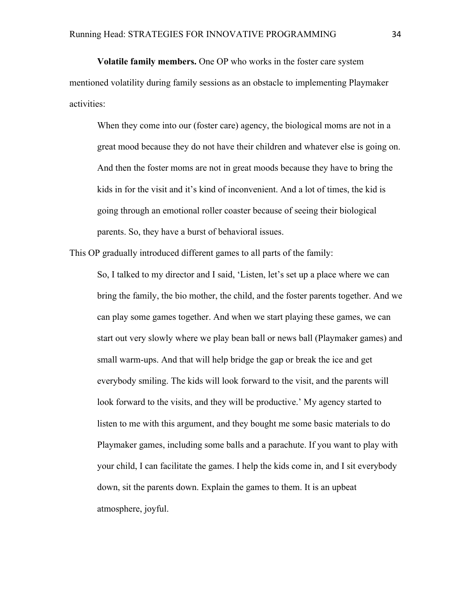**Volatile family members.** One OP who works in the foster care system mentioned volatility during family sessions as an obstacle to implementing Playmaker activities:

When they come into our (foster care) agency, the biological moms are not in a great mood because they do not have their children and whatever else is going on. And then the foster moms are not in great moods because they have to bring the kids in for the visit and it's kind of inconvenient. And a lot of times, the kid is going through an emotional roller coaster because of seeing their biological parents. So, they have a burst of behavioral issues.

This OP gradually introduced different games to all parts of the family:

So, I talked to my director and I said, 'Listen, let's set up a place where we can bring the family, the bio mother, the child, and the foster parents together. And we can play some games together. And when we start playing these games, we can start out very slowly where we play bean ball or news ball (Playmaker games) and small warm-ups. And that will help bridge the gap or break the ice and get everybody smiling. The kids will look forward to the visit, and the parents will look forward to the visits, and they will be productive.' My agency started to listen to me with this argument, and they bought me some basic materials to do Playmaker games, including some balls and a parachute. If you want to play with your child, I can facilitate the games. I help the kids come in, and I sit everybody down, sit the parents down. Explain the games to them. It is an upbeat atmosphere, joyful.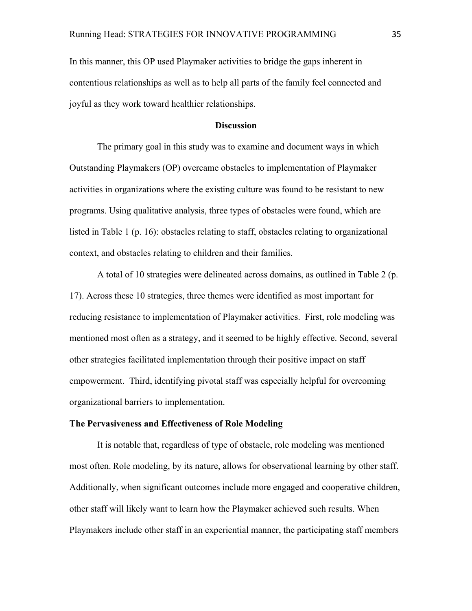In this manner, this OP used Playmaker activities to bridge the gaps inherent in contentious relationships as well as to help all parts of the family feel connected and joyful as they work toward healthier relationships.

#### **Discussion**

The primary goal in this study was to examine and document ways in which Outstanding Playmakers (OP) overcame obstacles to implementation of Playmaker activities in organizations where the existing culture was found to be resistant to new programs. Using qualitative analysis, three types of obstacles were found, which are listed in Table 1 (p. 16): obstacles relating to staff, obstacles relating to organizational context, and obstacles relating to children and their families.

A total of 10 strategies were delineated across domains, as outlined in Table 2 (p. 17). Across these 10 strategies, three themes were identified as most important for reducing resistance to implementation of Playmaker activities. First, role modeling was mentioned most often as a strategy, and it seemed to be highly effective. Second, several other strategies facilitated implementation through their positive impact on staff empowerment. Third, identifying pivotal staff was especially helpful for overcoming organizational barriers to implementation.

#### **The Pervasiveness and Effectiveness of Role Modeling**

It is notable that, regardless of type of obstacle, role modeling was mentioned most often. Role modeling, by its nature, allows for observational learning by other staff. Additionally, when significant outcomes include more engaged and cooperative children, other staff will likely want to learn how the Playmaker achieved such results. When Playmakers include other staff in an experiential manner, the participating staff members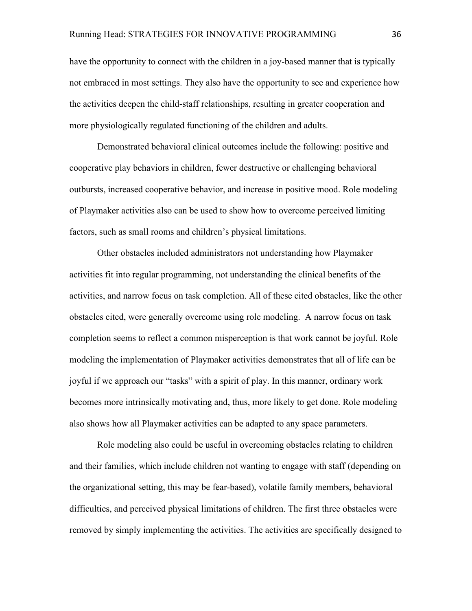have the opportunity to connect with the children in a joy-based manner that is typically not embraced in most settings. They also have the opportunity to see and experience how the activities deepen the child-staff relationships, resulting in greater cooperation and more physiologically regulated functioning of the children and adults.

Demonstrated behavioral clinical outcomes include the following: positive and cooperative play behaviors in children, fewer destructive or challenging behavioral outbursts, increased cooperative behavior, and increase in positive mood. Role modeling of Playmaker activities also can be used to show how to overcome perceived limiting factors, such as small rooms and children's physical limitations.

Other obstacles included administrators not understanding how Playmaker activities fit into regular programming, not understanding the clinical benefits of the activities, and narrow focus on task completion. All of these cited obstacles, like the other obstacles cited, were generally overcome using role modeling. A narrow focus on task completion seems to reflect a common misperception is that work cannot be joyful. Role modeling the implementation of Playmaker activities demonstrates that all of life can be joyful if we approach our "tasks" with a spirit of play. In this manner, ordinary work becomes more intrinsically motivating and, thus, more likely to get done. Role modeling also shows how all Playmaker activities can be adapted to any space parameters.

Role modeling also could be useful in overcoming obstacles relating to children and their families, which include children not wanting to engage with staff (depending on the organizational setting, this may be fear-based), volatile family members, behavioral difficulties, and perceived physical limitations of children. The first three obstacles were removed by simply implementing the activities. The activities are specifically designed to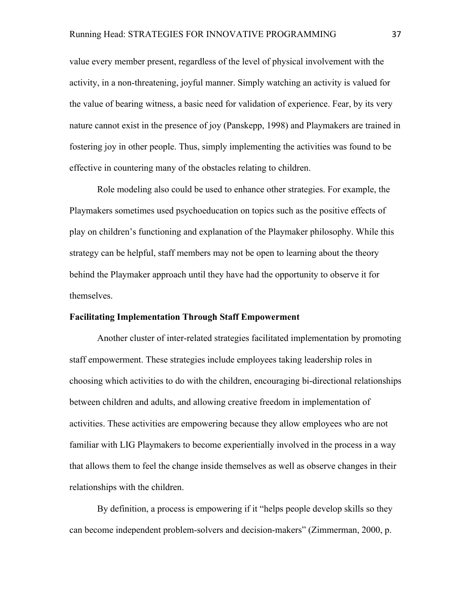value every member present, regardless of the level of physical involvement with the activity, in a non-threatening, joyful manner. Simply watching an activity is valued for the value of bearing witness, a basic need for validation of experience. Fear, by its very nature cannot exist in the presence of joy (Panskepp, 1998) and Playmakers are trained in fostering joy in other people. Thus, simply implementing the activities was found to be effective in countering many of the obstacles relating to children.

Role modeling also could be used to enhance other strategies. For example, the Playmakers sometimes used psychoeducation on topics such as the positive effects of play on children's functioning and explanation of the Playmaker philosophy. While this strategy can be helpful, staff members may not be open to learning about the theory behind the Playmaker approach until they have had the opportunity to observe it for themselves.

#### **Facilitating Implementation Through Staff Empowerment**

Another cluster of inter-related strategies facilitated implementation by promoting staff empowerment. These strategies include employees taking leadership roles in choosing which activities to do with the children, encouraging bi-directional relationships between children and adults, and allowing creative freedom in implementation of activities. These activities are empowering because they allow employees who are not familiar with LIG Playmakers to become experientially involved in the process in a way that allows them to feel the change inside themselves as well as observe changes in their relationships with the children.

By definition, a process is empowering if it "helps people develop skills so they can become independent problem-solvers and decision-makers" (Zimmerman, 2000, p.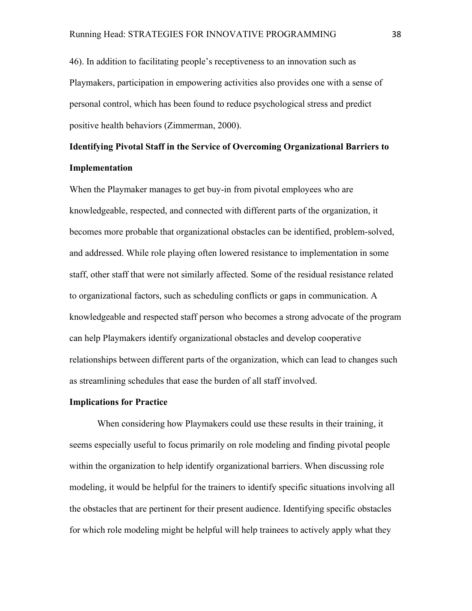46). In addition to facilitating people's receptiveness to an innovation such as Playmakers, participation in empowering activities also provides one with a sense of personal control, which has been found to reduce psychological stress and predict positive health behaviors (Zimmerman, 2000).

# **Identifying Pivotal Staff in the Service of Overcoming Organizational Barriers to Implementation**

When the Playmaker manages to get buy-in from pivotal employees who are knowledgeable, respected, and connected with different parts of the organization, it becomes more probable that organizational obstacles can be identified, problem-solved, and addressed. While role playing often lowered resistance to implementation in some staff, other staff that were not similarly affected. Some of the residual resistance related to organizational factors, such as scheduling conflicts or gaps in communication. A knowledgeable and respected staff person who becomes a strong advocate of the program can help Playmakers identify organizational obstacles and develop cooperative relationships between different parts of the organization, which can lead to changes such as streamlining schedules that ease the burden of all staff involved.

#### **Implications for Practice**

When considering how Playmakers could use these results in their training, it seems especially useful to focus primarily on role modeling and finding pivotal people within the organization to help identify organizational barriers. When discussing role modeling, it would be helpful for the trainers to identify specific situations involving all the obstacles that are pertinent for their present audience. Identifying specific obstacles for which role modeling might be helpful will help trainees to actively apply what they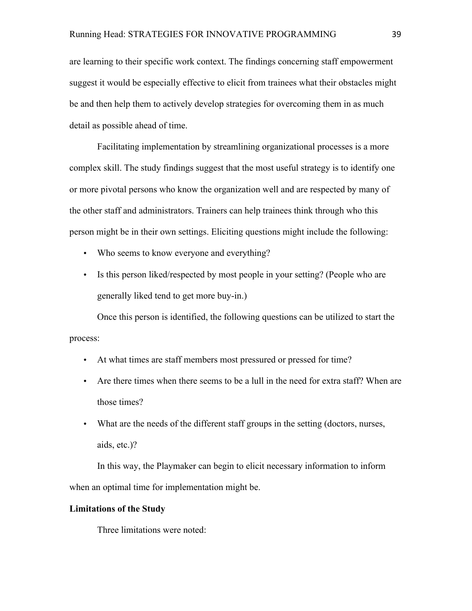are learning to their specific work context. The findings concerning staff empowerment suggest it would be especially effective to elicit from trainees what their obstacles might be and then help them to actively develop strategies for overcoming them in as much detail as possible ahead of time.

Facilitating implementation by streamlining organizational processes is a more complex skill. The study findings suggest that the most useful strategy is to identify one or more pivotal persons who know the organization well and are respected by many of the other staff and administrators. Trainers can help trainees think through who this person might be in their own settings. Eliciting questions might include the following:

- Who seems to know everyone and everything?
- Is this person liked/respected by most people in your setting? (People who are generally liked tend to get more buy-in.)

Once this person is identified, the following questions can be utilized to start the process:

- At what times are staff members most pressured or pressed for time?
- Are there times when there seems to be a lull in the need for extra staff? When are those times?
- What are the needs of the different staff groups in the setting (doctors, nurses, aids, etc.)?

In this way, the Playmaker can begin to elicit necessary information to inform when an optimal time for implementation might be.

#### **Limitations of the Study**

Three limitations were noted: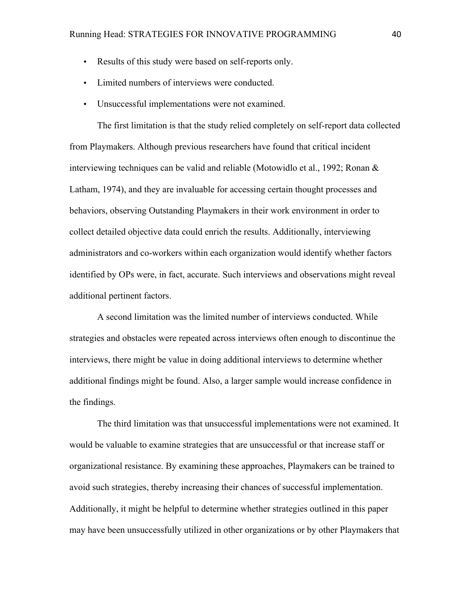- Results of this study were based on self-reports only.
- Limited numbers of interviews were conducted.
- Unsuccessful implementations were not examined.

The first limitation is that the study relied completely on self-report data collected from Playmakers. Although previous researchers have found that critical incident interviewing techniques can be valid and reliable (Motowidlo et al., 1992; Ronan & Latham, 1974), and they are invaluable for accessing certain thought processes and behaviors, observing Outstanding Playmakers in their work environment in order to collect detailed objective data could enrich the results. Additionally, interviewing administrators and co-workers within each organization would identify whether factors identified by OPs were, in fact, accurate. Such interviews and observations might reveal additional pertinent factors.

A second limitation was the limited number of interviews conducted. While strategies and obstacles were repeated across interviews often enough to discontinue the interviews, there might be value in doing additional interviews to determine whether additional findings might be found. Also, a larger sample would increase confidence in the findings.

The third limitation was that unsuccessful implementations were not examined. It would be valuable to examine strategies that are unsuccessful or that increase staff or organizational resistance. By examining these approaches, Playmakers can be trained to avoid such strategies, thereby increasing their chances of successful implementation. Additionally, it might be helpful to determine whether strategies outlined in this paper may have been unsuccessfully utilized in other organizations or by other Playmakers that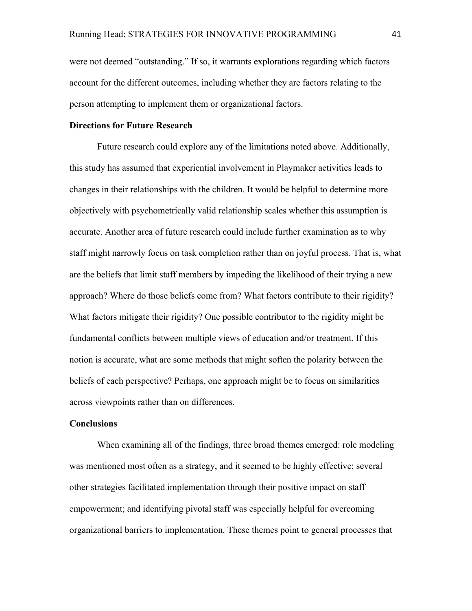were not deemed "outstanding." If so, it warrants explorations regarding which factors account for the different outcomes, including whether they are factors relating to the person attempting to implement them or organizational factors.

### **Directions for Future Research**

Future research could explore any of the limitations noted above. Additionally, this study has assumed that experiential involvement in Playmaker activities leads to changes in their relationships with the children. It would be helpful to determine more objectively with psychometrically valid relationship scales whether this assumption is accurate. Another area of future research could include further examination as to why staff might narrowly focus on task completion rather than on joyful process. That is, what are the beliefs that limit staff members by impeding the likelihood of their trying a new approach? Where do those beliefs come from? What factors contribute to their rigidity? What factors mitigate their rigidity? One possible contributor to the rigidity might be fundamental conflicts between multiple views of education and/or treatment. If this notion is accurate, what are some methods that might soften the polarity between the beliefs of each perspective? Perhaps, one approach might be to focus on similarities across viewpoints rather than on differences.

#### **Conclusions**

When examining all of the findings, three broad themes emerged: role modeling was mentioned most often as a strategy, and it seemed to be highly effective; several other strategies facilitated implementation through their positive impact on staff empowerment; and identifying pivotal staff was especially helpful for overcoming organizational barriers to implementation. These themes point to general processes that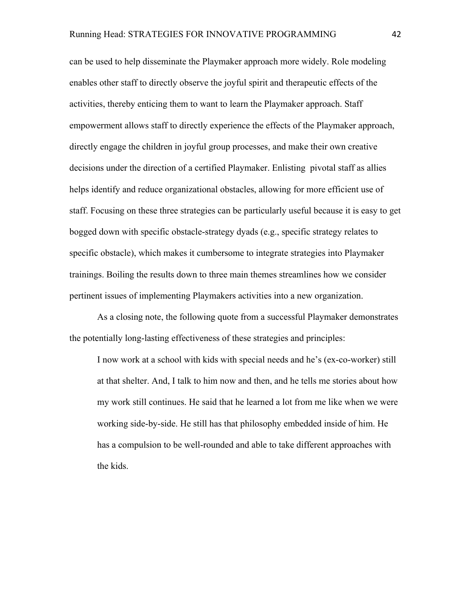can be used to help disseminate the Playmaker approach more widely. Role modeling enables other staff to directly observe the joyful spirit and therapeutic effects of the activities, thereby enticing them to want to learn the Playmaker approach. Staff empowerment allows staff to directly experience the effects of the Playmaker approach, directly engage the children in joyful group processes, and make their own creative decisions under the direction of a certified Playmaker. Enlisting pivotal staff as allies helps identify and reduce organizational obstacles, allowing for more efficient use of staff. Focusing on these three strategies can be particularly useful because it is easy to get bogged down with specific obstacle-strategy dyads (e.g., specific strategy relates to specific obstacle), which makes it cumbersome to integrate strategies into Playmaker trainings. Boiling the results down to three main themes streamlines how we consider pertinent issues of implementing Playmakers activities into a new organization.

As a closing note, the following quote from a successful Playmaker demonstrates the potentially long-lasting effectiveness of these strategies and principles:

I now work at a school with kids with special needs and he's (ex-co-worker) still at that shelter. And, I talk to him now and then, and he tells me stories about how my work still continues. He said that he learned a lot from me like when we were working side-by-side. He still has that philosophy embedded inside of him. He has a compulsion to be well-rounded and able to take different approaches with the kids.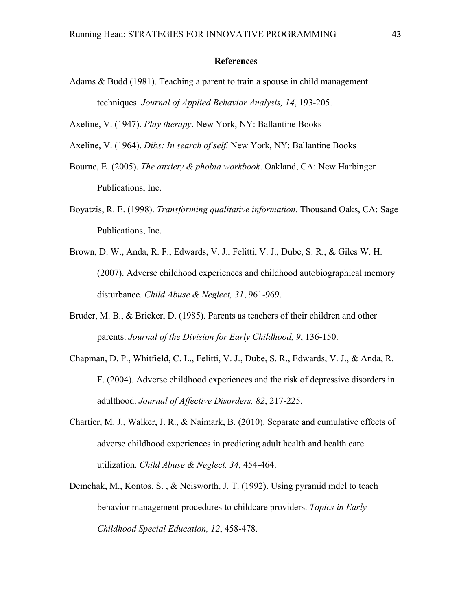#### **References**

- Adams & Budd (1981). Teaching a parent to train a spouse in child management techniques. *Journal of Applied Behavior Analysis, 14*, 193-205.
- Axeline, V. (1947). *Play therapy*. New York, NY: Ballantine Books
- Axeline, V. (1964). *Dibs: In search of self.* New York, NY: Ballantine Books
- Bourne, E. (2005). *The anxiety & phobia workbook*. Oakland, CA: New Harbinger Publications, Inc.
- Boyatzis, R. E. (1998). *Transforming qualitative information*. Thousand Oaks, CA: Sage Publications, Inc.
- Brown, D. W., Anda, R. F., Edwards, V. J., Felitti, V. J., Dube, S. R., & Giles W. H. (2007). Adverse childhood experiences and childhood autobiographical memory disturbance. *Child Abuse & Neglect, 31*, 961-969.
- Bruder, M. B., & Bricker, D. (1985). Parents as teachers of their children and other parents. *Journal of the Division for Early Childhood, 9*, 136-150.
- Chapman, D. P., Whitfield, C. L., Felitti, V. J., Dube, S. R., Edwards, V. J., & Anda, R. F. (2004). Adverse childhood experiences and the risk of depressive disorders in adulthood. *Journal of Affective Disorders, 82*, 217-225.
- Chartier, M. J., Walker, J. R., & Naimark, B. (2010). Separate and cumulative effects of adverse childhood experiences in predicting adult health and health care utilization. *Child Abuse & Neglect, 34*, 454-464.
- Demchak, M., Kontos, S. , & Neisworth, J. T. (1992). Using pyramid mdel to teach behavior management procedures to childcare providers. *Topics in Early Childhood Special Education, 12*, 458-478.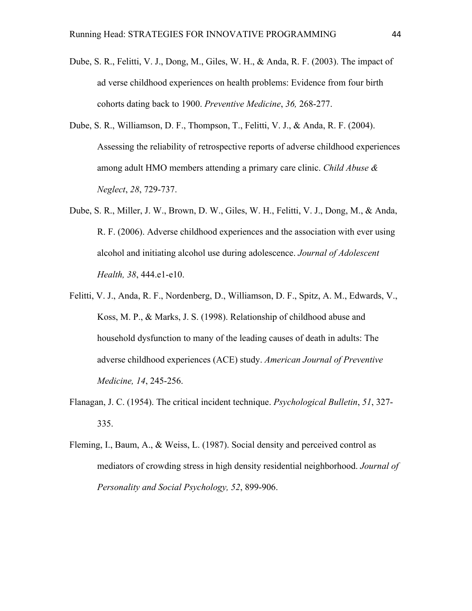- Dube, S. R., Felitti, V. J., Dong, M., Giles, W. H., & Anda, R. F. (2003). The impact of ad verse childhood experiences on health problems: Evidence from four birth cohorts dating back to 1900. *Preventive Medicine*, *36,* 268-277.
- Dube, S. R., Williamson, D. F., Thompson, T., Felitti, V. J., & Anda, R. F. (2004). Assessing the reliability of retrospective reports of adverse childhood experiences among adult HMO members attending a primary care clinic. *Child Abuse & Neglect*, *28*, 729-737.
- Dube, S. R., Miller, J. W., Brown, D. W., Giles, W. H., Felitti, V. J., Dong, M., & Anda, R. F. (2006). Adverse childhood experiences and the association with ever using alcohol and initiating alcohol use during adolescence. *Journal of Adolescent Health, 38*, 444.e1-e10.
- Felitti, V. J., Anda, R. F., Nordenberg, D., Williamson, D. F., Spitz, A. M., Edwards, V., Koss, M. P., & Marks, J. S. (1998). Relationship of childhood abuse and household dysfunction to many of the leading causes of death in adults: The adverse childhood experiences (ACE) study. *American Journal of Preventive Medicine, 14*, 245-256.
- Flanagan, J. C. (1954). The critical incident technique. *Psychological Bulletin*, *51*, 327- 335.
- Fleming, I., Baum, A., & Weiss, L. (1987). Social density and perceived control as mediators of crowding stress in high density residential neighborhood. *Journal of Personality and Social Psychology, 52*, 899-906.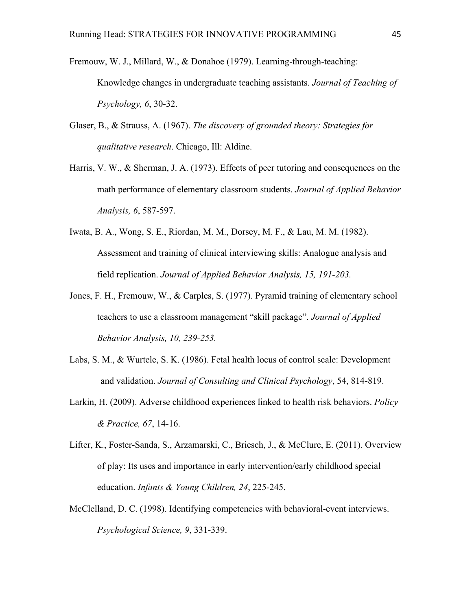- Fremouw, W. J., Millard, W., & Donahoe (1979). Learning-through-teaching: Knowledge changes in undergraduate teaching assistants. *Journal of Teaching of Psychology, 6*, 30-32.
- Glaser, B., & Strauss, A. (1967). *The discovery of grounded theory: Strategies for qualitative research*. Chicago, Ill: Aldine.
- Harris, V. W., & Sherman, J. A. (1973). Effects of peer tutoring and consequences on the math performance of elementary classroom students. *Journal of Applied Behavior Analysis, 6*, 587-597.
- Iwata, B. A., Wong, S. E., Riordan, M. M., Dorsey, M. F., & Lau, M. M. (1982). Assessment and training of clinical interviewing skills: Analogue analysis and field replication. *Journal of Applied Behavior Analysis, 15, 191-203.*
- Jones, F. H., Fremouw, W., & Carples, S. (1977). Pyramid training of elementary school teachers to use a classroom management "skill package". *Journal of Applied Behavior Analysis, 10, 239-253.*
- Labs, S. M., & Wurtele, S. K. (1986). Fetal health locus of control scale: Development and validation. *Journal of Consulting and Clinical Psychology*, 54, 814-819.
- Larkin, H. (2009). Adverse childhood experiences linked to health risk behaviors. *Policy & Practice, 67*, 14-16.
- Lifter, K., Foster-Sanda, S., Arzamarski, C., Briesch, J., & McClure, E. (2011). Overview of play: Its uses and importance in early intervention/early childhood special education. *Infants & Young Children, 24*, 225-245.
- McClelland, D. C. (1998). Identifying competencies with behavioral-event interviews. *Psychological Science, 9*, 331-339.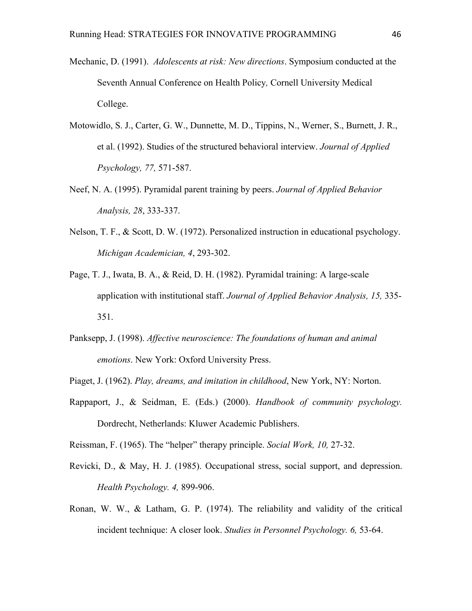- Mechanic, D. (1991). *Adolescents at risk: New directions*. Symposium conducted at the Seventh Annual Conference on Health Policy*,* Cornell University Medical College.
- Motowidlo, S. J., Carter, G. W., Dunnette, M. D., Tippins, N., Werner, S., Burnett, J. R., et al. (1992). Studies of the structured behavioral interview. *Journal of Applied Psychology, 77,* 571-587.
- Neef, N. A. (1995). Pyramidal parent training by peers. *Journal of Applied Behavior Analysis, 28*, 333-337.
- Nelson, T. F., & Scott, D. W. (1972). Personalized instruction in educational psychology. *Michigan Academician, 4*, 293-302.
- Page, T. J., Iwata, B. A., & Reid, D. H. (1982). Pyramidal training: A large-scale application with institutional staff. *Journal of Applied Behavior Analysis, 15,* 335- 351.
- Panksepp, J. (1998). *Affective neuroscience: The foundations of human and animal emotions*. New York: Oxford University Press.
- Piaget, J. (1962). *Play, dreams, and imitation in childhood*, New York, NY: Norton.
- Rappaport, J., & Seidman, E. (Eds.) (2000). *Handbook of community psychology.* Dordrecht, Netherlands: Kluwer Academic Publishers.

Reissman, F. (1965). The "helper" therapy principle. *Social Work, 10,* 27-32.

- Revicki, D., & May, H. J. (1985). Occupational stress, social support, and depression. *Health Psychology. 4,* 899-906.
- Ronan, W. W., & Latham, G. P. (1974). The reliability and validity of the critical incident technique: A closer look. *Studies in Personnel Psychology. 6,* 53-64.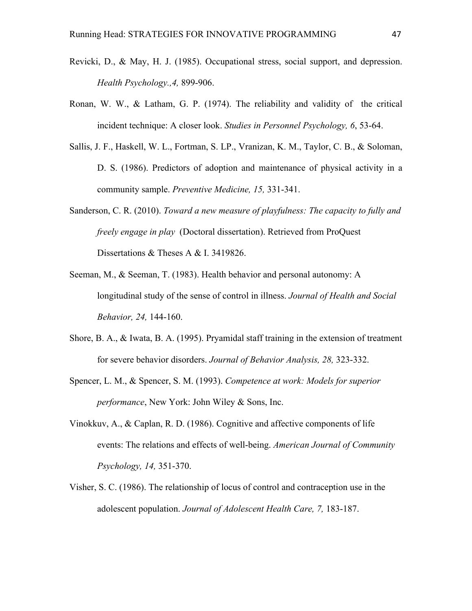- Revicki, D., & May, H. J. (1985). Occupational stress, social support, and depression. *Health Psychology.,4,* 899-906.
- Ronan, W. W., & Latham, G. P. (1974). The reliability and validity of the critical incident technique: A closer look. *Studies in Personnel Psychology, 6*, 53-64.
- Sallis, J. F., Haskell, W. L., Fortman, S. LP., Vranizan, K. M., Taylor, C. B., & Soloman, D. S. (1986). Predictors of adoption and maintenance of physical activity in a community sample. *Preventive Medicine, 15,* 331-341.
- Sanderson, C. R. (2010). *Toward a new measure of playfulness: The capacity to fully and freely engage in play* (Doctoral dissertation). Retrieved from ProQuest Dissertations & Theses A & I. 3419826.
- Seeman, M., & Seeman, T. (1983). Health behavior and personal autonomy: A longitudinal study of the sense of control in illness. *Journal of Health and Social Behavior, 24,* 144-160.
- Shore, B. A., & Iwata, B. A. (1995). Pryamidal staff training in the extension of treatment for severe behavior disorders. *Journal of Behavior Analysis, 28,* 323-332.
- Spencer, L. M., & Spencer, S. M. (1993). *Competence at work: Models for superior performance*, New York: John Wiley & Sons, Inc.
- Vinokkuv, A., & Caplan, R. D. (1986). Cognitive and affective components of life events: The relations and effects of well-being. *American Journal of Community Psychology, 14,* 351-370.
- Visher, S. C. (1986). The relationship of locus of control and contraception use in the adolescent population. *Journal of Adolescent Health Care, 7,* 183-187.